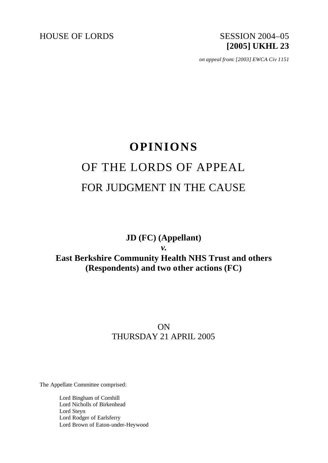HOUSE OF LORDS SESSION 2004-05

# **[2005] UKHL 23**

*on appeal from: [2003] EWCA Civ 1151*

## **OPINIONS** OF THE LORDS OF APPEAL FOR JUDGMENT IN THE CAUSE

### **JD (FC) (Appellant)** *v.* **East Berkshire Community Health NHS Trust and others (Respondents) and two other actions (FC)**

## ON THURSDAY 21 APRIL 2005

The Appellate Committee comprised:

Lord Bingham of Cornhill Lord Nicholls of Birkenhead Lord Steyn Lord Rodger of Earlsferry Lord Brown of Eaton-under-Heywood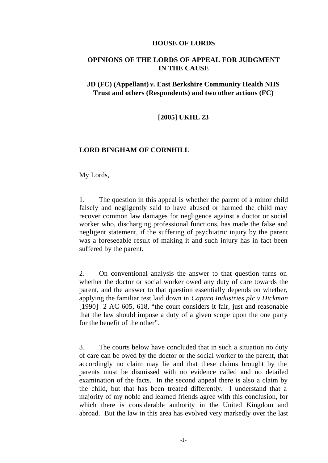#### **HOUSE OF LORDS**

#### **OPINIONS OF THE LORDS OF APPEAL FOR JUDGMENT IN THE CAUSE**

#### **JD (FC) (Appellant)** *v.* **East Berkshire Community Health NHS Trust and others (Respondents) and two other actions (FC)**

#### **[2005] UKHL 23**

#### **LORD BINGHAM OF CORNHILL**

My Lords,

1. The question in this appeal is whether the parent of a minor child falsely and negligently said to have abused or harmed the child may recover common law damages for negligence against a doctor or social worker who, discharging professional functions, has made the false and negligent statement, if the suffering of psychiatric injury by the parent was a foreseeable result of making it and such injury has in fact been suffered by the parent.

2. On conventional analysis the answer to that question turns on whether the doctor or social worker owed any duty of care towards the parent, and the answer to that question essentially depends on whether, applying the familiar test laid down in *Caparo Industries plc v Dickman* [1990] 2 AC 605, 618, "the court considers it fair, just and reasonable that the law should impose a duty of a given scope upon the one party for the benefit of the other".

3. The courts below have concluded that in such a situation no duty of care can be owed by the doctor or the social worker to the parent, that accordingly no claim may lie and that these claims brought by the parents must be dismissed with no evidence called and no detailed examination of the facts. In the second appeal there is also a claim by the child, but that has been treated differently. I understand that a majority of my noble and learned friends agree with this conclusion, for which there is considerable authority in the United Kingdom and abroad. But the law in this area has evolved very markedly over the last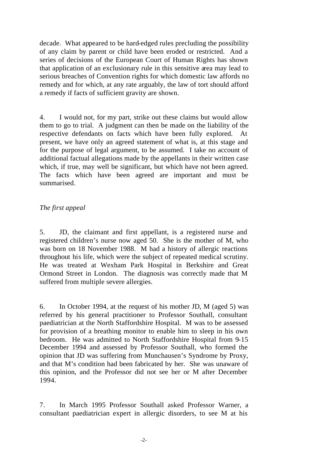decade. What appeared to be hard-edged rules precluding the possibility of any claim by parent or child have been eroded or restricted. And a series of decisions of the European Court of Human Rights has shown that application of an exclusionary rule in this sensitive area may lead to serious breaches of Convention rights for which domestic law affords no remedy and for which, at any rate arguably, the law of tort should afford a remedy if facts of sufficient gravity are shown.

4. I would not, for my part, strike out these claims but would allow them to go to trial. A judgment can then be made on the liability of the respective defendants on facts which have been fully explored. At present, we have only an agreed statement of what is, at this stage and for the purpose of legal argument, to be assumed. I take no account of additional factual allegations made by the appellants in their written case which, if true, may well be significant, but which have not been agreed. The facts which have been agreed are important and must be summarised.

#### *The first appeal*

5. JD, the claimant and first appellant, is a registered nurse and registered children's nurse now aged 50. She is the mother of M, who was born on 18 November 1988. M had a history of allergic reactions throughout his life, which were the subject of repeated medical scrutiny. He was treated at Wexham Park Hospital in Berkshire and Great Ormond Street in London. The diagnosis was correctly made that M suffered from multiple severe allergies.

6. In October 1994, at the request of his mother JD, M (aged 5) was referred by his general practitioner to Professor Southall, consultant paediatrician at the North Staffordshire Hospital. M was to be assessed for provision of a breathing monitor to enable him to sleep in his own bedroom. He was admitted to North Staffordshire Hospital from 9-15 December 1994 and assessed by Professor Southall, who formed the opinion that JD was suffering from Munchausen's Syndrome by Proxy, and that M's condition had been fabricated by her. She was unaware of this opinion, and the Professor did not see her or M after December 1994.

7. In March 1995 Professor Southall asked Professor Warner, a consultant paediatrician expert in allergic disorders, to see M at his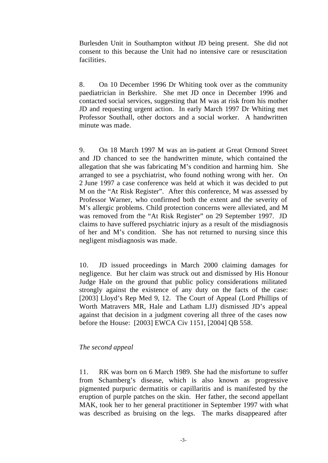Burlesden Unit in Southampton without JD being present. She did not consent to this because the Unit had no intensive care or resuscitation facilities.

8. On 10 December 1996 Dr Whiting took over as the community paediatrician in Berkshire. She met JD once in December 1996 and contacted social services, suggesting that M was at risk from his mother JD and requesting urgent action. In early March 1997 Dr Whiting met Professor Southall, other doctors and a social worker. A handwritten minute was made.

9. On 18 March 1997 M was an in-patient at Great Ormond Street and JD chanced to see the handwritten minute, which contained the allegation that she was fabricating M's condition and harming him. She arranged to see a psychiatrist, who found nothing wrong with her. On 2 June 1997 a case conference was held at which it was decided to put M on the "At Risk Register". After this conference, M was assessed by Professor Warner, who confirmed both the extent and the severity of M's allergic problems. Child protection concerns were alleviated, and M was removed from the "At Risk Register" on 29 September 1997. JD claims to have suffered psychiatric injury as a result of the misdiagnosis of her and M's condition. She has not returned to nursing since this negligent misdiagnosis was made.

10. JD issued proceedings in March 2000 claiming damages for negligence. But her claim was struck out and dismissed by His Honour Judge Hale on the ground that public policy considerations militated strongly against the existence of any duty on the facts of the case: [2003] Lloyd's Rep Med 9, 12. The Court of Appeal (Lord Phillips of Worth Matravers MR, Hale and Latham LJJ) dismissed JD's appeal against that decision in a judgment covering all three of the cases now before the House: [2003] EWCA Civ 1151, [2004] QB 558.

#### *The second appeal*

11. RK was born on 6 March 1989. She had the misfortune to suffer from Schamberg's disease, which is also known as progressive pigmented purpuric dermatitis or capillaritis and is manifested by the eruption of purple patches on the skin. Her father, the second appellant MAK, took her to her general practitioner in September 1997 with what was described as bruising on the legs. The marks disappeared after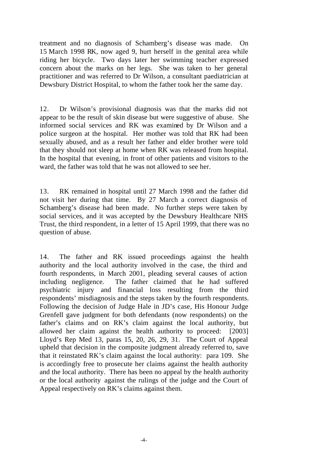treatment and no diagnosis of Schamberg's disease was made. On 15 March 1998 RK, now aged 9, hurt herself in the genital area while riding her bicycle. Two days later her swimming teacher expressed concern about the marks on her legs. She was taken to her general practitioner and was referred to Dr Wilson, a consultant paediatrician at Dewsbury District Hospital, to whom the father took her the same day.

12. Dr Wilson's provisional diagnosis was that the marks did not appear to be the result of skin disease but were suggestive of abuse. She informed social services and RK was examined by Dr Wilson and a police surgeon at the hospital. Her mother was told that RK had been sexually abused, and as a result her father and elder brother were told that they should not sleep at home when RK was released from hospital. In the hospital that evening, in front of other patients and visitors to the ward, the father was told that he was not allowed to see her.

13. RK remained in hospital until 27 March 1998 and the father did not visit her during that time. By 27 March a correct diagnosis of Schamberg's disease had been made. No further steps were taken by social services, and it was accepted by the Dewsbury Healthcare NHS Trust, the third respondent, in a letter of 15 April 1999, that there was no question of abuse.

14. The father and RK issued proceedings against the health authority and the local authority involved in the case, the third and fourth respondents, in March 2001, pleading several causes of action including negligence. The father claimed that he had suffered psychiatric injury and financial loss resulting from the third respondents' misdiagnosis and the steps taken by the fourth respondents. Following the decision of Judge Hale in JD's case, His Honour Judge Grenfell gave judgment for both defendants (now respondents) on the father's claims and on RK's claim against the local authority, but allowed her claim against the health authority to proceed: [2003] Lloyd's Rep Med 13, paras 15, 20, 26, 29, 31. The Court of Appeal upheld that decision in the composite judgment already referred to, save that it reinstated RK's claim against the local authority: para 109. She is accordingly free to prosecute her claims against the health authority and the local authority. There has been no appeal by the health authority or the local authority against the rulings of the judge and the Court of Appeal respectively on RK's claims against them.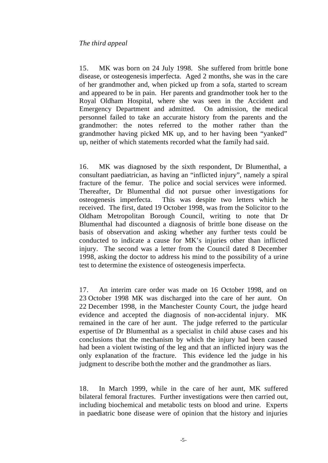#### *The third appeal*

15. MK was born on 24 July 1998. She suffered from brittle bone disease, or osteogenesis imperfecta. Aged 2 months, she was in the care of her grandmother and, when picked up from a sofa, started to scream and appeared to be in pain. Her parents and grandmother took her to the Royal Oldham Hospital, where she was seen in the Accident and Emergency Department and admitted. On admission, the medical personnel failed to take an accurate history from the parents and the grandmother: the notes referred to the mother rather than the grandmother having picked MK up, and to her having been "yanked" up, neither of which statements recorded what the family had said.

16. MK was diagnosed by the sixth respondent, Dr Blumenthal, a consultant paediatrician, as having an "inflicted injury", namely a spiral fracture of the femur. The police and social services were informed. Thereafter, Dr Blumenthal did not pursue other investigations for osteogenesis imperfecta. This was despite two letters which he received. The first, dated 19 October 1998, was from the Solicitor to the Oldham Metropolitan Borough Council, writing to note that Dr Blumenthal had discounted a diagnosis of brittle bone disease on the basis of observation and asking whether any further tests could be conducted to indicate a cause for MK's injuries other than inflicted injury. The second was a letter from the Council dated 8 December 1998, asking the doctor to address his mind to the possibility of a urine test to determine the existence of osteogenesis imperfecta.

17. An interim care order was made on 16 October 1998, and on 23 October 1998 MK was discharged into the care of her aunt. On 22 December 1998, in the Manchester County Court, the judge heard evidence and accepted the diagnosis of non-accidental injury. MK remained in the care of her aunt. The judge referred to the particular expertise of Dr Blumenthal as a specialist in child abuse cases and his conclusions that the mechanism by which the injury had been caused had been a violent twisting of the leg and that an inflicted injury was the only explanation of the fracture. This evidence led the judge in his judgment to describe both the mother and the grandmother as liars.

18. In March 1999, while in the care of her aunt, MK suffered bilateral femoral fractures. Further investigations were then carried out, including biochemical and metabolic tests on blood and urine. Experts in paediatric bone disease were of opinion that the history and injuries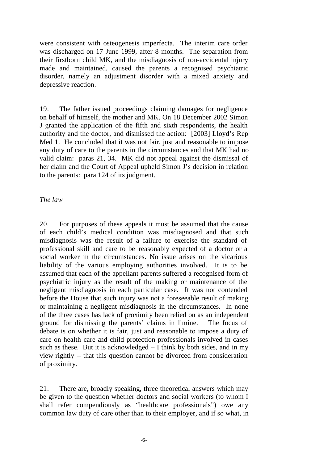were consistent with osteogenesis imperfecta. The interim care order was discharged on 17 June 1999, after 8 months. The separation from their firstborn child MK, and the misdiagnosis of non-accidental injury made and maintained, caused the parents a recognised psychiatric disorder, namely an adjustment disorder with a mixed anxiety and depressive reaction.

19. The father issued proceedings claiming damages for negligence on behalf of himself, the mother and MK. On 18 December 2002 Simon J granted the application of the fifth and sixth respondents, the health authority and the doctor, and dismissed the action: [2003] Lloyd's Rep Med 1. He concluded that it was not fair, just and reasonable to impose any duty of care to the parents in the circumstances and that MK had no valid claim: paras 21, 34. MK did not appeal against the dismissal of her claim and the Court of Appeal upheld Simon J's decision in relation to the parents: para 124 of its judgment.

#### *The law*

20. For purposes of these appeals it must be assumed that the cause of each child's medical condition was misdiagnosed and that such misdiagnosis was the result of a failure to exercise the standard of professional skill and care to be reasonably expected of a doctor or a social worker in the circumstances. No issue arises on the vicarious liability of the various employing authorities involved. It is to be assumed that each of the appellant parents suffered a recognised form of psychiatric injury as the result of the making or maintenance of the negligent misdiagnosis in each particular case. It was not contended before the House that such injury was not a foreseeable result of making or maintaining a negligent misdiagnosis in the circumstances. In none of the three cases has lack of proximity been relied on as an independent ground for dismissing the parents' claims in limine. The focus of debate is on whether it is fair, just and reasonable to impose a duty of care on health care and child protection professionals involved in cases such as these. But it is acknowledged  $-$  I think by both sides, and in my view rightly – that this question cannot be divorced from consideration of proximity.

21. There are, broadly speaking, three theoretical answers which may be given to the question whether doctors and social workers (to whom I shall refer compendiously as "healthcare professionals") owe any common law duty of care other than to their employer, and if so what, in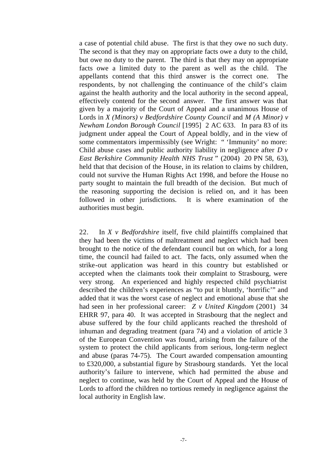a case of potential child abuse. The first is that they owe no such duty. The second is that they may on appropriate facts owe a duty to the child, but owe no duty to the parent. The third is that they may on appropriate facts owe a limited duty to the parent as well as the child. The appellants contend that this third answer is the correct one. The respondents, by not challenging the continuance of the child's claim against the health authority and the local authority in the second appeal, effectively contend for the second answer. The first answer was that given by a majority of the Court of Appeal and a unanimous House of Lords in *X (Minors) v Bedfordshire County Council* and *M (A Minor) v Newham London Borough Council* [1995] 2 AC 633. In para 83 of its judgment under appeal the Court of Appeal boldly, and in the view of some commentators impermissibly (see Wright: " 'Immunity' no more: Child abuse cases and public authority liability in negligence after *D v East Berkshire Community Health NHS Trust* " (2004) 20 PN 58, 63), held that that decision of the House, in its relation to claims by children, could not survive the Human Rights Act 1998, and before the House no party sought to maintain the full breadth of the decision. But much of the reasoning supporting the decision is relied on, and it has been followed in other jurisdictions. It is where examination of the authorities must begin.

22. In *X v Bedfordshire* itself, five child plaintiffs complained that they had been the victims of maltreatment and neglect which had been brought to the notice of the defendant council but on which, for a long time, the council had failed to act. The facts, only assumed when the strike-out application was heard in this country but established or accepted when the claimants took their complaint to Strasbourg, were very strong. An experienced and highly respected child psychiatrist described the children's experiences as "to put it bluntly, 'horrific'" and added that it was the worst case of neglect and emotional abuse that she had seen in her professional career: *Z v United Kingdom* (2001) 34 EHRR 97, para 40. It was accepted in Strasbourg that the neglect and abuse suffered by the four child applicants reached the threshold of inhuman and degrading treatment (para 74) and a violation of article 3 of the European Convention was found, arising from the failure of the system to protect the child applicants from serious, long-term neglect and abuse (paras 74-75). The Court awarded compensation amounting to £320,000, a substantial figure by Strasbourg standards. Yet the local authority's failure to intervene, which had permitted the abuse and neglect to continue, was held by the Court of Appeal and the House of Lords to afford the children no tortious remedy in negligence against the local authority in English law.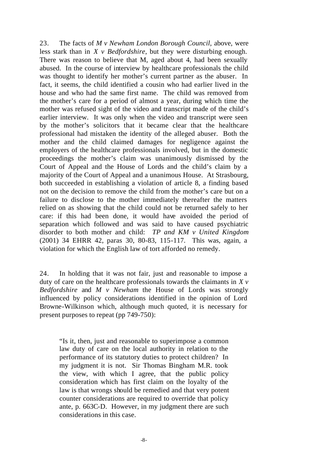23. The facts of *M v Newham London Borough Council*, above, were less stark than in *X v Bedfordshire*, but they were disturbing enough. There was reason to believe that M, aged about 4, had been sexually abused. In the course of interview by healthcare professionals the child was thought to identify her mother's current partner as the abuser. In fact, it seems, the child identified a cousin who had earlier lived in the house and who had the same first name. The child was removed from the mother's care for a period of almost a year, during which time the mother was refused sight of the video and transcript made of the child's earlier interview. It was only when the video and transcript were seen by the mother's solicitors that it became clear that the healthcare professional had mistaken the identity of the alleged abuser. Both the mother and the child claimed damages for negligence against the employers of the healthcare professionals involved, but in the domestic proceedings the mother's claim was unanimously dismissed by the Court of Appeal and the House of Lords and the child's claim by a majority of the Court of Appeal and a unanimous House. At Strasbourg, both succeeded in establishing a violation of article 8, a finding based not on the decision to remove the child from the mother's care but on a failure to disclose to the mother immediately thereafter the matters relied on as showing that the child could not be returned safely to her care: if this had been done, it would have avoided the period of separation which followed and was said to have caused psychiatric disorder to both mother and child: *TP and KM v United Kingdom* (2001) 34 EHRR 42, paras 30, 80-83, 115-117. This was, again, a violation for which the English law of tort afforded no remedy.

24. In holding that it was not fair, just and reasonable to impose a duty of care on the healthcare professionals towards the claimants in *X v Bedfordshire* and *M v Newham* the House of Lords was strongly influenced by policy considerations identified in the opinion of Lord Browne-Wilkinson which, although much quoted, it is necessary for present purposes to repeat (pp 749-750):

"Is it, then, just and reasonable to superimpose a common law duty of care on the local authority in relation to the performance of its statutory duties to protect children? In my judgment it is not. Sir Thomas Bingham M.R. took the view, with which I agree, that the public policy consideration which has first claim on the loyalty of the law is that wrongs should be remedied and that very potent counter considerations are required to override that policy ante, p. 663C-D. However, in my judgment there are such considerations in this case.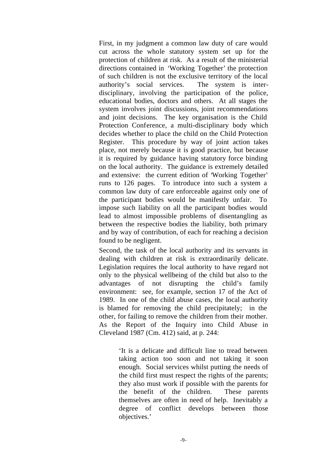First, in my judgment a common law duty of care would cut across the whole statutory system set up for the protection of children at risk. As a result of the ministerial directions contained in 'Working Together' the protection of such children is not the exclusive territory of the local authority's social services. The system is interdisciplinary, involving the participation of the police, educational bodies, doctors and others. At all stages the system involves joint discussions, joint recommendations and joint decisions. The key organisation is the Child Protection Conference, a multi-disciplinary body which decides whether to place the child on the Child Protection Register. This procedure by way of joint action takes place, not merely because it is good practice, but because it is required by guidance having statutory force binding on the local authority. The guidance is extremely detailed and extensive: the current edition of 'Working Together' runs to 126 pages. To introduce into such a system a common law duty of care enforceable against only one of the participant bodies would be manifestly unfair. To impose such liability on all the participant bodies would lead to almost impossible problems of disentangling as between the respective bodies the liability, both primary and by way of contribution, of each for reaching a decision found to be negligent.

Second, the task of the local authority and its servants in dealing with children at risk is extraordinarily delicate. Legislation requires the local authority to have regard not only to the physical wellbeing of the child but also to the advantages of not disrupting the child's family environment: see, for example, section 17 of the Act of 1989. In one of the child abuse cases, the local authority is blamed for removing the child precipitately; in the other, for failing to remove the children from their mother. As the Report of the Inquiry into Child Abuse in Cleveland 1987 (Cm. 412) said, at p. 244:

> 'It is a delicate and difficult line to tread between taking action too soon and not taking it soon enough. Social services whilst putting the needs of the child first must respect the rights of the parents; they also must work if possible with the parents for the benefit of the children. These parents themselves are often in need of help. Inevitably a degree of conflict develops between those objectives.'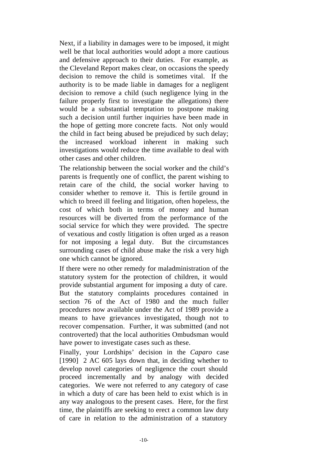Next, if a liability in damages were to be imposed, it might well be that local authorities would adopt a more cautious and defensive approach to their duties. For example, as the Cleveland Report makes clear, on occasions the speedy decision to remove the child is sometimes vital. If the authority is to be made liable in damages for a negligent decision to remove a child (such negligence lying in the failure properly first to investigate the allegations) there would be a substantial temptation to postpone making such a decision until further inquiries have been made in the hope of getting more concrete facts. Not only would the child in fact being abused be prejudiced by such delay; the increased workload inherent in making such investigations would reduce the time available to deal with other cases and other children.

The relationship between the social worker and the child's parents is frequently one of conflict, the parent wishing to retain care of the child, the social worker having to consider whether to remove it. This is fertile ground in which to breed ill feeling and litigation, often hopeless, the cost of which both in terms of money and human resources will be diverted from the performance of the social service for which they were provided. The spectre of vexatious and costly litigation is often urged as a reason for not imposing a legal duty. But the circumstances surrounding cases of child abuse make the risk a very high one which cannot be ignored.

If there were no other remedy for maladministration of the statutory system for the protection of children, it would provide substantial argument for imposing a duty of care. But the statutory complaints procedures contained in section 76 of the Act of 1980 and the much fuller procedures now available under the Act of 1989 provide a means to have grievances investigated, though not to recover compensation. Further, it was submitted (and not controverted) that the local authorities Ombudsman would have power to investigate cases such as these.

Finally, your Lordships' decision in the *Caparo* case [1990] 2 AC 605 lays down that, in deciding whether to develop novel categories of negligence the court should proceed incrementally and by analogy with decided categories. We were not referred to any category of case in which a duty of care has been held to exist which is in any way analogous to the present cases. Here, for the first time, the plaintiffs are seeking to erect a common law duty of care in relation to the administration of a statutory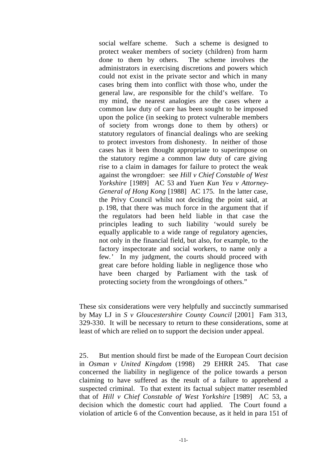social welfare scheme. Such a scheme is designed to protect weaker members of society (children) from harm done to them by others. The scheme involves the administrators in exercising discretions and powers which could not exist in the private sector and which in many cases bring them into conflict with those who, under the general law, are responsible for the child's welfare. To my mind, the nearest analogies are the cases where a common law duty of care has been sought to be imposed upon the police (in seeking to protect vulnerable members of society from wrongs done to them by others) or statutory regulators of financial dealings who are seeking to protect investors from dishonesty. In neither of those cases has it been thought appropriate to superimpose on the statutory regime a common law duty of care giving rise to a claim in damages for failure to protect the weak against the wrongdoer: see *Hill v Chief Constable of West Yorkshire* [1989] AC 53 and *Yuen Kun Yeu v Attorney-General of Hong Kong* [1988] AC 175. In the latter case, the Privy Council whilst not deciding the point said, at p. 198, that there was much force in the argument that if the regulators had been held liable in that case the principles leading to such liability 'would surely be equally applicable to a wide range of regulatory agencies, not only in the financial field, but also, for example, to the factory inspectorate and social workers, to name only a few.' In my judgment, the courts should proceed with great care before holding liable in negligence those who have been charged by Parliament with the task of protecting society from the wrongdoings of others."

These six considerations were very helpfully and succinctly summarised by May LJ in *S v Gloucestershire County Council* [2001] Fam 313, 329-330. It will be necessary to return to these considerations, some at least of which are relied on to support the decision under appeal.

25. But mention should first be made of the European Court decision in *Osman v United Kingdom* (1998) 29 EHRR 245. That case concerned the liability in negligence of the police towards a person claiming to have suffered as the result of a failure to apprehend a suspected criminal. To that extent its factual subject matter resembled that of *Hill v Chief Constable of West Yorkshire* [1989] AC 53, a decision which the domestic court had applied. The Court found a violation of article 6 of the Convention because, as it held in para 151 of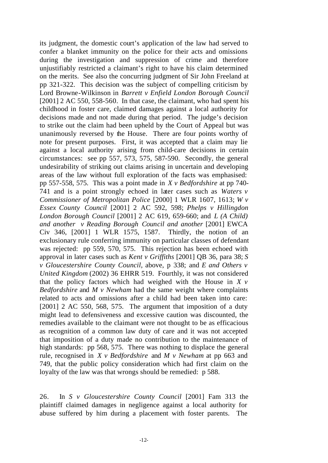its judgment, the domestic court's application of the law had served to confer a blanket immunity on the police for their acts and omissions during the investigation and suppression of crime and therefore unjustifiably restricted a claimant's right to have his claim determined on the merits. See also the concurring judgment of Sir John Freeland at pp 321-322. This decision was the subject of compelling criticism by Lord Browne-Wilkinson in *Barrett v Enfield London Borough Council* [2001] 2 AC 550, 558-560. In that case, the claimant, who had spent his childhood in foster care, claimed damages against a local authority for decisions made and not made during that period. The judge's decision to strike out the claim had been upheld by the Court of Appeal but was unanimously reversed by the House. There are four points worthy of note for present purposes. First, it was accepted that a claim may lie against a local authority arising from child-care decisions in certain circumstances: see pp 557, 573, 575, 587-590. Secondly, the general undesirability of striking out claims arising in uncertain and developing areas of the law without full exploration of the facts was emphasised: pp 557-558, 575. This was a point made in *X v Bedfordshire* at pp 740- 741 and is a point strongly echoed in later cases such as *Waters v Commissioner of Metropolitan Police* [2000] 1 WLR 1607, 1613; *W v Essex County Council* [2001] 2 AC 592, 598; *Phelps v Hillingdon London Borough Council* [2001] 2 AC 619, 659-660; and *L (A Child) and another v Reading Borough Council and another* [2001] EWCA Civ 346, [2001] 1 WLR 1575, 1587. Thirdly, the notion of an exclusionary rule conferring immunity on particular classes of defendant was rejected: pp 559, 570, 575. This rejection has been echoed with approval in later cases such as *Kent v Griffiths* [2001] QB 36, para 38; *S v Gloucestershire County Council,* above, p 338; and *E and Others v United Kingdom* (2002) 36 EHRR 519. Fourthly, it was not considered that the policy factors which had weighed with the House in *X v Bedfordshire* and *M v Newham* had the same weight where complaints related to acts and omissions after a child had been taken into care:  $[2001]$  2 AC 550, 568, 575. The argument that imposition of a duty might lead to defensiveness and excessive caution was discounted, the remedies available to the claimant were not thought to be as efficacious as recognition of a common law duty of care and it was not accepted that imposition of a duty made no contribution to the maintenance of high standards: pp 568, 575. There was nothing to displace the general rule, recognised in *X v Bedfordshire* and *M v Newham* at pp 663 and 749, that the public policy consideration which had first claim on the loyalty of the law was that wrongs should be remedied: p 588.

26. In *S v Gloucestershire County Council* [2001] Fam 313 the plaintiff claimed damages in negligence against a local authority for abuse suffered by him during a placement with foster parents. The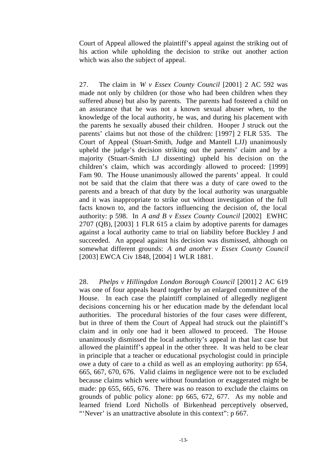Court of Appeal allowed the plaintiff's appeal against the striking out of his action while upholding the decision to strike out another action which was also the subject of appeal.

27. The claim in *W v Essex County Council* [2001] 2 AC 592 was made not only by children (or those who had been children when they suffered abuse) but also by parents. The parents had fostered a child on an assurance that he was not a known sexual abuser when, to the knowledge of the local authority, he was, and during his placement with the parents he sexually abused their children. Hooper J struck out the parents' claims but not those of the children: [1997] 2 FLR 535. The Court of Appeal (Stuart-Smith, Judge and Mantell LJJ) unanimously upheld the judge's decision striking out the parents' claim and by a majority (Stuart-Smith LJ dissenting) upheld his decision on the children's claim, which was accordingly allowed to proceed: [1999] Fam 90. The House unanimously allowed the parents' appeal. It could not be said that the claim that there was a duty of care owed to the parents and a breach of that duty by the local authority was unarguable and it was inappropriate to strike out without investigation of the full facts known to, and the factors influencing the decision of, the local authority: p 598. In *A and B v Essex County Council* [2002] EWHC 2707 (QB), [2003] 1 FLR 615 a claim by adoptive parents for damages against a local authority came to trial on liability before Buckley J and succeeded. An appeal against his decision was dismissed, although on somewhat different grounds: *A and another v Essex County Council* [2003] EWCA Civ 1848, [2004] 1 WLR 1881.

28. *Phelps v Hillingdon London Borough Council* [2001] 2 AC 619 was one of four appeals heard together by an enlarged committee of the House. In each case the plaintiff complained of allegedly negligent decisions concerning his or her education made by the defendant local authorities. The procedural histories of the four cases were different, but in three of them the Court of Appeal had struck out the plaintiff's claim and in only one had it been allowed to proceed. The House unanimously dismissed the local authority's appeal in that last case but allowed the plaintiff's appeal in the other three. It was held to be clear in principle that a teacher or educational psychologist could in principle owe a duty of care to a child as well as an employing authority: pp 654, 665, 667, 670, 676. Valid claims in negligence were not to be excluded because claims which were without foundation or exaggerated might be made: pp 655, 665, 676. There was no reason to exclude the claims on grounds of public policy alone: pp 665, 672, 677. As my noble and learned friend Lord Nicholls of Birkenhead perceptively observed, "'Never' is an unattractive absolute in this context": p 667.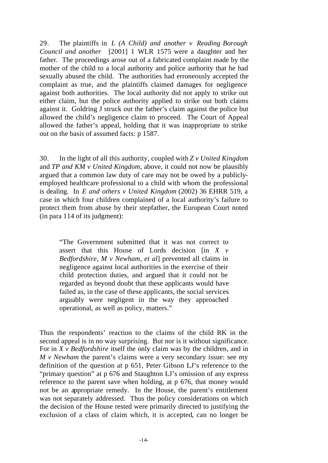29. The plaintiffs in *L (A Child) and another v Reading Borough Council and another* [2001] 1 WLR 1575 were a daughter and her father. The proceedings arose out of a fabricated complaint made by the mother of the child to a local authority and police authority that he had sexually abused the child. The authorities had erroneously accepted the complaint as true, and the plaintiffs claimed damages for negligence against both authorities. The local authority did not apply to strike out either claim, but the police authority applied to strike out both claims against it. Goldring J struck out the father's claim against the police but allowed the child's negligence claim to proceed. The Court of Appeal allowed the father's appeal, holding that it was inappropriate to strike out on the basis of assumed facts: p 1587.

30. In the light of all this authority, coupled with *Z v United Kingdom*  and *TP and KM v United Kingdom,* above, it could not now be plausibly argued that a common law duty of care may not be owed by a publiclyemployed healthcare professional to a child with whom the professional is dealing. In *E and others v United Kingdom* (2002) 36 EHRR 519, a case in which four children complained of a local authority's failure to protect them from abuse by their stepfather, the European Court noted (in para 114 of its judgment):

"The Government submitted that it was not correct to assert that this House of Lords decision [in *X v Bedfordshire, M v Newham, et al*] prevented all claims in negligence against local authorities in the exercise of their child protection duties, and argued that it could not be regarded as beyond doubt that these applicants would have failed as, in the case of these applicants, the social services arguably were negligent in the way they approached operational, as well as policy, matters."

Thus the respondents' reaction to the claims of the child RK in the second appeal is in no way surprising. But nor is it without significance. For in *X v Bedfordshire* itself the only claim was by the children, and in *M v Newham* the parent's claims were a very secondary issue: see my definition of the question at p 651, Peter Gibson LJ's reference to the "primary question" at p 676 and Staughton LJ's omission of any express reference to the parent save when holding, at p 676, that money would not be an appropriate remedy. In the House, the parent's entitlement was not separately addressed. Thus the policy considerations on which the decision of the House rested were primarily directed to justifying the exclusion of a class of claim which, it is accepted, can no longer be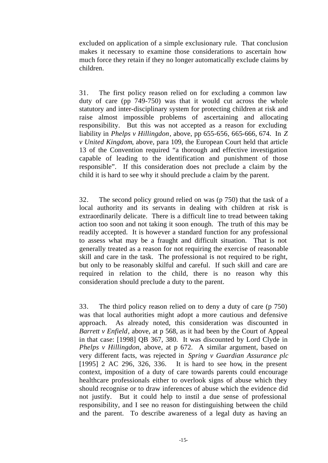excluded on application of a simple exclusionary rule. That conclusion makes it necessary to examine those considerations to ascertain how much force they retain if they no longer automatically exclude claims by children.

31. The first policy reason relied on for excluding a common law duty of care (pp 749-750) was that it would cut across the whole statutory and inter-disciplinary system for protecting children at risk and raise almost impossible problems of ascertaining and allocating responsibility. But this was not accepted as a reason for excluding liability in *Phelps v Hillingdon*, above, pp 655-656, 665-666, 674. In *Z v United Kingdom*, above, para 109, the European Court held that article 13 of the Convention required "a thorough and effective investigation capable of leading to the identification and punishment of those responsible". If this consideration does not preclude a claim by the child it is hard to see why it should preclude a claim by the parent.

32. The second policy ground relied on was (p 750) that the task of a local authority and its servants in dealing with children at risk is extraordinarily delicate. There is a difficult line to tread between taking action too soon and not taking it soon enough. The truth of this may be readily accepted. It is however a standard function for any professional to assess what may be a fraught and difficult situation. That is not generally treated as a reason for not requiring the exercise of reasonable skill and care in the task. The professional is not required to be right, but only to be reasonably skilful and careful. If such skill and care are required in relation to the child, there is no reason why this consideration should preclude a duty to the parent.

33. The third policy reason relied on to deny a duty of care (p 750) was that local authorities might adopt a more cautious and defensive approach. As already noted, this consideration was discounted in *Barrett v Enfield*, above, at p 568, as it had been by the Court of Appeal in that case: [1998] QB 367, 380. It was discounted by Lord Clyde in *Phelps v Hillingdon*, above, at p 672. A similar argument, based on very different facts, was rejected in *Spring v Guardian Assurance plc* [1995] 2 AC 296, 326, 336. It is hard to see how, in the present context, imposition of a duty of care towards parents could encourage healthcare professionals either to overlook signs of abuse which they should recognise or to draw inferences of abuse which the evidence did not justify. But it could help to instil a due sense of professional responsibility, and I see no reason for distinguishing between the child and the parent. To describe awareness of a legal duty as having an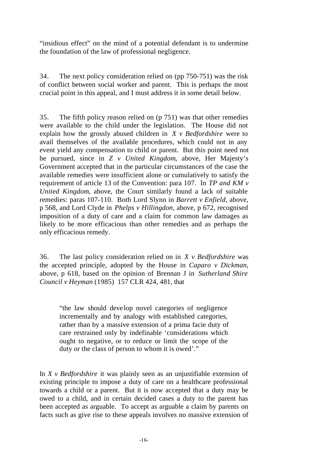"insidious effect" on the mind of a potential defendant is to undermine the foundation of the law of professional negligence.

34. The next policy consideration relied on (pp 750-751) was the risk of conflict between social worker and parent. This is perhaps the most crucial point in this appeal, and I must address it in some detail below.

35. The fifth policy reason relied on (p 751) was that other remedies were available to the child under the legislation. The House did not explain how the grossly abused children in *X v Bedfordshire* were to avail themselves of the available procedures, which could not in any event yield any compensation to child or parent. But this point need not be pursued, since in *Z v United Kingdom*, above, Her Majesty's Government accepted that in the particular circumstances of the case the available remedies were insufficient alone or cumulatively to satisfy the requirement of article 13 of the Convention: para 107. In *TP and KM v United Kingdom*, above, the Court similarly found a lack of suitable remedies: paras 107-110. Both Lord Slynn in *Barrett v Enfield*, above, p 568, and Lord Clyde in *Phelps v Hillingdon*, above, p 672, recognised imposition of a duty of care and a claim for common law damages as likely to be more efficacious than other remedies and as perhaps the only efficacious remedy.

36. The last policy consideration relied on in *X v Bedfordshire* was the accepted principle, adopted by the House in *Caparo v Dickman*, above, p 618, based on the opinion of Brennan J in *Sutherland Shire Council v Heyman* (1985) 157 CLR 424, 481, that

"the law should deve lop novel categories of negligence incrementally and by analogy with established categories, rather than by a massive extension of a prima facie duty of care restrained only by indefinable 'considerations which ought to negative, or to reduce or limit the scope of the duty or the class of person to whom it is owed'."

In *X v Bedfordshire* it was plainly seen as an unjustifiable extension of existing principle to impose a duty of care on a healthcare professional towards a child or a parent. But it is now accepted that a duty may be owed to a child, and in certain decided cases a duty to the parent has been accepted as arguable. To accept as arguable a claim by parents on facts such as give rise to these appeals involves no massive extension of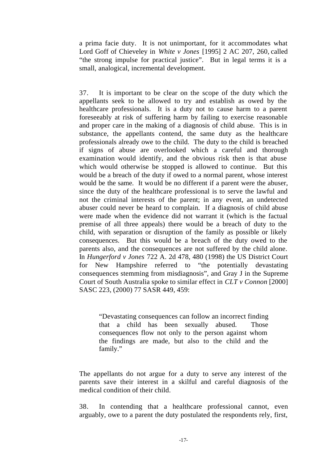a prima facie duty. It is not unimportant, for it accommodates what Lord Goff of Chieveley in *White v Jones* [1995] 2 AC 207, 260, called "the strong impulse for practical justice". But in legal terms it is a small, analogical, incremental development.

37. It is important to be clear on the scope of the duty which the appellants seek to be allowed to try and establish as owed by the healthcare professionals. It is a duty not to cause harm to a parent foreseeably at risk of suffering harm by failing to exercise reasonable and proper care in the making of a diagnosis of child abuse. This is in substance, the appellants contend, the same duty as the healthcare professionals already owe to the child. The duty to the child is breached if signs of abuse are overlooked which a careful and thorough examination would identify, and the obvious risk then is that abuse which would otherwise be stopped is allowed to continue. But this would be a breach of the duty if owed to a normal parent, whose interest would be the same. It would be no different if a parent were the abuser, since the duty of the healthcare professional is to serve the lawful and not the criminal interests of the parent; in any event, an undetected abuser could never be heard to complain. If a diagnosis of child abuse were made when the evidence did not warrant it (which is the factual premise of all three appeals) there would be a breach of duty to the child, with separation or disruption of the family as possible or likely consequences. But this would be a breach of the duty owed to the parents also, and the consequences are not suffered by the child alone. In *Hungerford v Jones* 722 A. 2d 478, 480 (1998) the US District Court for New Hampshire referred to "the potentially devastating consequences stemming from misdiagnosis", and Gray J in the Supreme Court of South Australia spoke to similar effect in *CLT v Connon* [2000] SASC 223, (2000) 77 SASR 449, 459:

"Devastating consequences can follow an incorrect finding that a child has been sexually abused. Those consequences flow not only to the person against whom the findings are made, but also to the child and the family."

The appellants do not argue for a duty to serve any interest of the parents save their interest in a skilful and careful diagnosis of the medical condition of their child.

38. In contending that a healthcare professional cannot, even arguably, owe to a parent the duty postulated the respondents rely, first,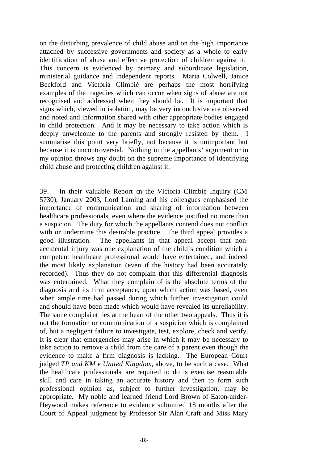on the disturbing prevalence of child abuse and on the high importance attached by successive governments and society as a whole to early identification of abuse and effective protection of children against it. This concern is evidenced by primary and subordinate legislation, ministerial guidance and independent reports. Maria Colwell, Janice Beckford and Victoria Climbié are perhaps the most horrifying examples of the tragedies which can occur when signs of abuse are not recognised and addressed when they should be. It is important that signs which, viewed in isolation, may be very inconclusive are observed and noted and information shared with other appropriate bodies engaged in child protection. And it may be necessary to take action which is deeply unwelcome to the parents and strongly resisted by them. I summarise this point very briefly, not because it is unimportant but because it is uncontroversial. Nothing in the appellants' argument or in my opinion throws any doubt on the supreme importance of identifying child abuse and protecting children against it.

39. In their valuable Report on the Victoria Climbié Inquiry (CM 5730), January 2003, Lord Laming and his colleagues emphasised the importance of communication and sharing of information between healthcare professionals, even where the evidence justified no more than a suspicion. The duty for which the appellants contend does not conflict with or undermine this desirable practice. The third appeal provides a good illustration. The appellants in that appeal accept that nonaccidental injury was one explanation of the child's condition which a competent healthcare professional would have entertained, and indeed the most likely explanation (even if the history had been accurately recorded). Thus they do not complain that this differential diagnosis was entertained. What they complain of is the absolute terms of the diagnosis and its firm acceptance, upon which action was based, even when ample time had passed during which further investigation could and should have been made which would have revealed its unreliability. The same complaint lies at the heart of the other two appeals. Thus it is not the formation or communication of a suspicion which is complained of, but a negligent failure to investigate, test, explore, check and verify. It is clear that emergencies may arise in which it may be necessary to take action to remove a child from the care of a parent even though the evidence to make a firm diagnosis is lacking. The European Court judged *TP and KM v United Kingdom*, above, to be such a case. What the healthcare professionals are required to do is exercise reasonable skill and care in taking an accurate history and then to form such professional opinion as, subject to further investigation, may be appropriate. My noble and learned friend Lord Brown of Eaton-under-Heywood makes reference to evidence submitted 18 months after the Court of Appeal judgment by Professor Sir Alan Craft and Miss Mary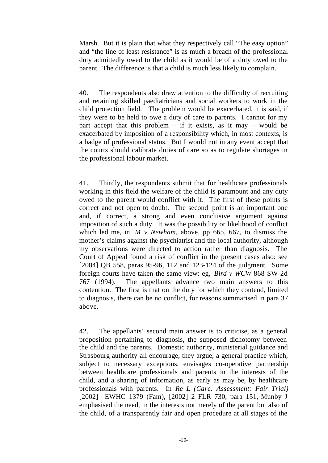Marsh. But it is plain that what they respectively call "The easy option" and "the line of least resistance" is as much a breach of the professional duty admittedly owed to the child as it would be of a duty owed to the parent. The difference is that a child is much less likely to complain.

40. The respondents also draw attention to the difficulty of recruiting and retaining skilled paediatricians and social workers to work in the child protection field. The problem would be exacerbated, it is said, if they were to be held to owe a duty of care to parents. I cannot for my part accept that this problem  $-$  if it exists, as it may  $-$  would be exacerbated by imposition of a responsibility which, in most contexts, is a badge of professional status. But I would not in any event accept that the courts should calibrate duties of care so as to regulate shortages in the professional labour market.

41. Thirdly, the respondents submit that for healthcare professionals working in this field the welfare of the child is paramount and any duty owed to the parent would conflict with it. The first of these points is correct and not open to doubt. The second point is an important one and, if correct, a strong and even conclusive argument against imposition of such a duty. It was the possibility or likelihood of conflict which led me, in *M v Newham*, above, pp 665, 667, to dismiss the mother's claims against the psychiatrist and the local authority, although my observations were directed to action rather than diagnosis. The Court of Appeal found a risk of conflict in the present cases also: see [2004] QB 558, paras 95-96, 112 and 123-124 of the judgment. Some foreign courts have taken the same view: eg, *Bird v WCW* 868 SW 2d 767 (1994). The appellants advance two main answers to this contention. The first is that on the duty for which they contend, limited to diagnosis, there can be no conflict, for reasons summarised in para 37 above.

42. The appellants' second main answer is to criticise, as a general proposition pertaining to diagnosis, the supposed dichotomy between the child and the parents. Domestic authority, ministerial guidance and Strasbourg authority all encourage, they argue, a general practice which, subject to necessary exceptions, envisages co-operative partnership between healthcare professionals and parents in the interests of the child, and a sharing of information, as early as may be, by healthcare professionals with parents. In *Re L (Care: Assessment: Fair Trial)* [2002] EWHC 1379 (Fam), [2002] 2 FLR 730, para 151, Munby J emphasised the need, in the interests not merely of the parent but also of the child, of a transparently fair and open procedure at all stages of the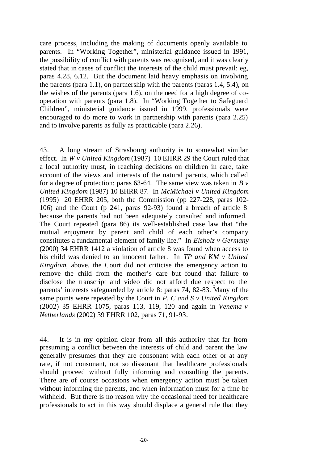care process, including the making of documents openly available to parents. In "Working Together", ministerial guidance issued in 1991, the possibility of conflict with parents was recognised, and it was clearly stated that in cases of conflict the interests of the child must prevail: eg, paras 4.28, 6.12. But the document laid heavy emphasis on involving the parents (para 1.1), on partnership with the parents (paras 1.4, 5.4), on the wishes of the parents (para 1.6), on the need for a high degree of cooperation with parents (para 1.8). In "Working Together to Safeguard Children", ministerial guidance issued in 1999, professionals were encouraged to do more to work in partnership with parents (para 2.25) and to involve parents as fully as practicable (para 2.26).

43. A long stream of Strasbourg authority is to somewhat similar effect. In *W v United Kingdom* (1987) 10 EHRR 29 the Court ruled that a local authority must, in reaching decisions on children in care, take account of the views and interests of the natural parents, which called for a degree of protection: paras 63-64. The same view was taken in *B v United Kingdom* (1987) 10 EHRR 87. In *McMichael v United Kingdom* (1995) 20 EHRR 205, both the Commission (pp 227-228, paras 102- 106) and the Court (p 241, paras 92-93) found a breach of article 8 because the parents had not been adequately consulted and informed. The Court repeated (para 86) its well-established case law that "the mutual enjoyment by parent and child of each other's company constitutes a fundamental element of family life." In *Elsholz v Germany* (2000) 34 EHRR 1412 a violation of article 8 was found when access to his child was denied to an innocent father. In *TP and KM v United Kingdom*, above, the Court did not criticise the emergency action to remove the child from the mother's care but found that failure to disclose the transcript and video did not afford due respect to the parents' interests safeguarded by article 8: paras 74, 82-83. Many of the same points were repeated by the Court in *P, C and S v United Kingdom* (2002) 35 EHRR 1075, paras 113, 119, 120 and again in *Venema v Netherlands* (2002) 39 EHRR 102, paras 71, 91-93.

44. It is in my opinion clear from all this authority that far from presuming a conflict between the interests of child and parent the law generally presumes that they are consonant with each other or at any rate, if not consonant, not so dissonant that healthcare professionals should proceed without fully informing and consulting the parents. There are of course occasions when emergency action must be taken without informing the parents, and when information must for a time be withheld. But there is no reason why the occasional need for healthcare professionals to act in this way should displace a general rule that they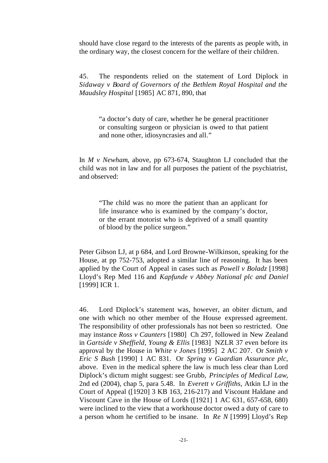should have close regard to the interests of the parents as people with, in the ordinary way, the closest concern for the welfare of their children.

45. The respondents relied on the statement of Lord Diplock in *Sidaway v Board of Governors of the Bethlem Royal Hospital and the Maudsley Hospital* [1985] AC 871, 890, that

"a doctor's duty of care, whether he be general practitioner or consulting surgeon or physician is owed to that patient and none other, idiosyncrasies and all."

In *M v Newham*, above, pp 673-674, Staughton LJ concluded that the child was not in law and for all purposes the patient of the psychiatrist, and observed:

"The child was no more the patient than an applicant for life insurance who is examined by the company's doctor, or the errant motorist who is deprived of a small quantity of blood by the police surgeon."

Peter Gibson LJ, at p 684, and Lord Browne-Wilkinson, speaking for the House, at pp 752-753, adopted a similar line of reasoning. It has been applied by the Court of Appeal in cases such as *Powell v Boladz* [1998] Lloyd's Rep Med 116 and *Kapfunde v Abbey National plc and Daniel* [1999] ICR 1.

46. Lord Diplock's statement was, however, an obiter dictum, and one with which no other member of the House expressed agreement. The responsibility of other professionals has not been so restricted. One may instance *Ross v Caunters* [1980] Ch 297, followed in New Zealand in *Gartside v Sheffield, Young & Ellis* [1983] NZLR 37 even before its approval by the House in *White v Jones* [1995] 2 AC 207. Or *Smith v Eric S Bush* [1990] 1 AC 831. Or *Spring v Guardian Assurance plc,* above. Even in the medical sphere the law is much less clear than Lord Diplock's dictum might suggest: see Grubb, *Principles of Medical Law*, 2nd ed (2004), chap 5, para 5.48. In *Everett v Griffiths*, Atkin LJ in the Court of Appeal ([1920] 3 KB 163, 216-217) and Viscount Haldane and Viscount Cave in the House of Lords ([1921] 1 AC 631, 657-658, 680) were inclined to the view that a workhouse doctor owed a duty of care to a person whom he certified to be insane. In *Re N* [1999] Lloyd's Rep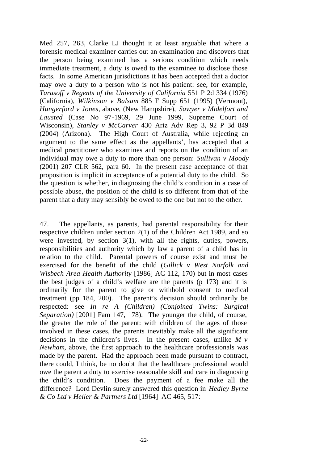Med 257, 263, Clarke LJ thought it at least arguable that where a forensic medical examiner carries out an examination and discovers that the person being examined has a serious condition which needs immediate treatment, a duty is owed to the examinee to disclose those facts. In some American jurisdictions it has been accepted that a doctor may owe a duty to a person who is not his patient: see, for example, *Tarasoff v Regents of the University of California* 551 P 2d 334 (1976) (California), *Wilkinson v Balsam* 885 F Supp 651 (1995) (Vermont), *Hungerford v Jones,* above, (New Hampshire), *Sawyer v Midelfort and Lausted* (Case No 97-1969, 29 June 1999, Supreme Court of Wisconsin), *Stanley v McCarver* 430 Ariz Adv Rep 3, 92 P 3d 849 (2004) (Arizona). The High Court of Australia, while rejecting an argument to the same effect as the appellants', has accepted that a medical practitioner who examines and reports on the condition of an individual may owe a duty to more than one person: *Sullivan v Moody* (2001) 207 CLR 562, para 60. In the present case acceptance of that proposition is implicit in acceptance of a potential duty to the child. So the question is whether, in diagnosing the child's condition in a case of possible abuse, the position of the child is so different from that of the parent that a duty may sensibly be owed to the one but not to the other.

47. The appellants, as parents, had parental responsibility for their respective children under section 2(1) of the Children Act 1989, and so were invested, by section 3(1), with all the rights, duties, powers, responsibilities and authority which by law a parent of a child has in relation to the child. Parental powers of course exist and must be exercised for the benefit of the child (*Gillick v West Norfolk and Wisbech Area Health Authority* [1986] AC 112, 170) but in most cases the best judges of a child's welfare are the parents (p 173) and it is ordinarily for the parent to give or withhold consent to medical treatment (pp 184, 200). The parent's decision should ordinarily be respected: see *In re A (Children) (Conjoined Twins: Surgical Separation)* [2001] Fam 147, 178). The younger the child, of course, the greater the role of the parent: with children of the ages of those involved in these cases, the parents inevitably make all the significant decisions in the children's lives. In the present cases, unlike *M v Newham*, above, the first approach to the healthcare professionals was made by the parent. Had the approach been made pursuant to contract, there could, I think, be no doubt that the healthcare professional would owe the parent a duty to exercise reasonable skill and care in diagnosing the child's condition. Does the payment of a fee make all the difference? Lord Devlin surely answered this question in *Hedley Byrne & Co Ltd v Heller & Partners Ltd* [1964] AC 465, 517: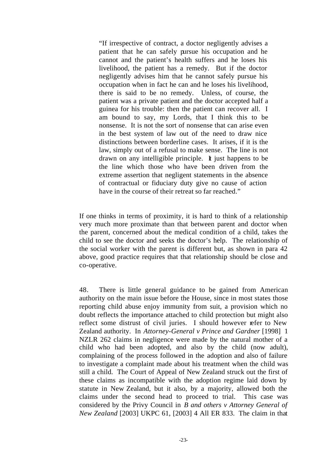"If irrespective of contract, a doctor negligently advises a patient that he can safely pursue his occupation and he cannot and the patient's health suffers and he loses his livelihood, the patient has a remedy. But if the doctor negligently advises him that he cannot safely pursue his occupation when in fact he can and he loses his livelihood, there is said to be no remedy. Unless, of course, the patient was a private patient and the doctor accepted half a guinea for his trouble: then the patient can recover all. I am bound to say, my Lords, that I think this to be nonsense. It is not the sort of nonsense that can arise even in the best system of law out of the need to draw nice distinctions between borderline cases. It arises, if it is the law, simply out of a refusal to make sense. The line is not drawn on any intelligible principle. It just happens to be the line which those who have been driven from the extreme assertion that negligent statements in the absence of contractual or fiduciary duty give no cause of action have in the course of their retreat so far reached."

If one thinks in terms of proximity, it is hard to think of a relationship very much more proximate than that between parent and doctor when the parent, concerned about the medical condition of a child, takes the child to see the doctor and seeks the doctor's help. The relationship of the social worker with the parent is different but, as shown in para 42 above, good practice requires that that relationship should be close and co-operative.

48. There is little general guidance to be gained from American authority on the main issue before the House, since in most states those reporting child abuse enjoy immunity from suit, a provision which no doubt reflects the importance attached to child protection but might also reflect some distrust of civil juries. I should however refer to New Zealand authority. In *Attorney-General v Prince and Gardner* [1998] 1 NZLR 262 claims in negligence were made by the natural mother of a child who had been adopted, and also by the child (now adult), complaining of the process followed in the adoption and also of failure to investigate a complaint made about his treatment when the child was still a child. The Court of Appeal of New Zealand struck out the first of these claims as incompatible with the adoption regime laid down by statute in New Zealand, but it also, by a majority, allowed both the claims under the second head to proceed to trial. This case was considered by the Privy Council in *B and others v Attorney General of New Zealand* [2003] UKPC 61, [2003] 4 All ER 833. The claim in that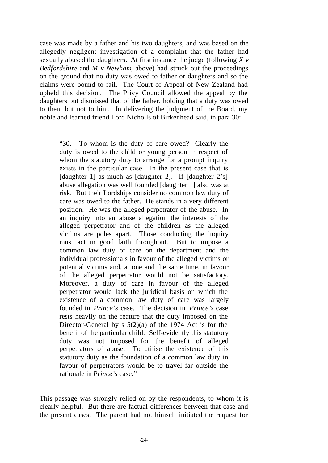case was made by a father and his two daughters, and was based on the allegedly negligent investigation of a complaint that the father had sexually abused the daughters. At first instance the judge (following *X v Bedfordshire* and *M v Newham*, above) had struck out the proceedings on the ground that no duty was owed to father or daughters and so the claims were bound to fail. The Court of Appeal of New Zealand had upheld this decision. The Privy Council allowed the appeal by the daughters but dismissed that of the father, holding that a duty was owed to them but not to him. In delivering the judgment of the Board, my noble and learned friend Lord Nicholls of Birkenhead said, in para 30:

"30. To whom is the duty of care owed? Clearly the duty is owed to the child or young person in respect of whom the statutory duty to arrange for a prompt inquiry exists in the particular case. In the present case that is [daughter 1] as much as [daughter 2]. If [daughter 2's] abuse allegation was well founded [daughter 1] also was at risk. But their Lordships consider no common law duty of care was owed to the father. He stands in a very different position. He was the alleged perpetrator of the abuse. In an inquiry into an abuse allegation the interests of the alleged perpetrator and of the children as the alleged victims are poles apart. Those conducting the inquiry must act in good faith throughout. But to impose a common law duty of care on the department and the individual professionals in favour of the alleged victims or potential victims and, at one and the same time, in favour of the alleged perpetrator would not be satisfactory. Moreover, a duty of care in favour of the alleged perpetrator would lack the juridical basis on which the existence of a common law duty of care was largely founded in *Prince's* case. The decision in *Prince's* case rests heavily on the feature that the duty imposed on the Director-General by  $s \frac{5(2)}{a}$  of the 1974 Act is for the benefit of the particular child. Self-evidently this statutory duty was not imposed for the benefit of alleged perpetrators of abuse. To utilise the existence of this statutory duty as the foundation of a common law duty in favour of perpetrators would be to travel far outside the rationale in *Prince's* case."

This passage was strongly relied on by the respondents, to whom it is clearly helpful. But there are factual differences between that case and the present cases. The parent had not himself initiated the request for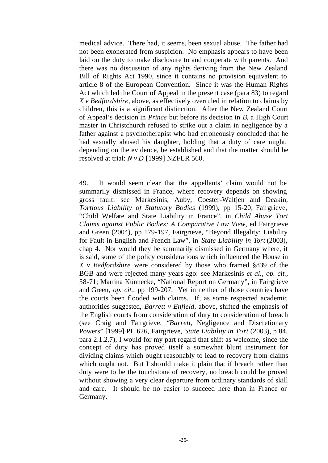medical advice. There had, it seems, been sexual abuse. The father had not been exonerated from suspicion. No emphasis appears to have been laid on the duty to make disclosure to and cooperate with parents. And there was no discussion of any rights deriving from the New Zealand Bill of Rights Act 1990, since it contains no provision equivalent to article 8 of the European Convention. Since it was the Human Rights Act which led the Court of Appeal in the present case (para 83) to regard *X v Bedfordshire*, above, as effectively overruled in relation to claims by children, this is a significant distinction. After the New Zealand Court of Appeal's decision in *Prince* but before its decision in *B*, a High Court master in Christchurch refused to strike out a claim in negligence by a father against a psychotherapist who had erroneously concluded that he had sexually abused his daughter, holding that a duty of care might, depending on the evidence, be established and that the matter should be resolved at trial: *N v D* [1999] NZFLR 560.

49. It would seem clear that the appellants' claim would not be summarily dismissed in France, where recovery depends on showing gross fault: see Markesinis, Auby, Coester-Waltjen and Deakin, *Tortious Liability of Statutory Bodies* (1999), pp 15-20; Fairgrieve, "Child Welfare and State Liability in France", in *Child Abuse Tort Claims against Public Bodies: A Comparative Law View,* ed Fairgrieve and Green (2004), pp 179-197, Fairgrieve, "Beyond Illegality: Liability for Fault in English and French Law", in *State Liability in Tort* (2003), chap 4. Nor would they be summarily dismissed in Germany where, it is said, some of the policy considerations which influenced the House in *X v Bedfordshire* were considered by those who framed §839 of the BGB and were rejected many years ago: see Markesinis *et al., op. cit.,* 58-71; Martina Künnecke, "National Report on Germany", in Fairgrieve and Green, *op. cit.,* pp 199-207. Yet in neither of those countries have the courts been flooded with claims. If, as some respected academic authorities suggested, *Barrett v Enfield*, above, shifted the emphasis of the English courts from consideration of duty to consideration of breach (see Craig and Fairgrieve, "*Barrett,* Negligence and Discretionary Powers" [1999] PL 626, Fairgrieve, *State Liability in Tort* (2003), p 84, para 2.1.2.7), I would for my part regard that shift as welcome, since the concept of duty has proved itself a somewhat blunt instrument for dividing claims which ought reasonably to lead to recovery from claims which ought not. But I should make it plain that if breach rather than duty were to be the touchstone of recovery, no breach could be proved without showing a very clear departure from ordinary standards of skill and care. It should be no easier to succeed here than in France or Germany.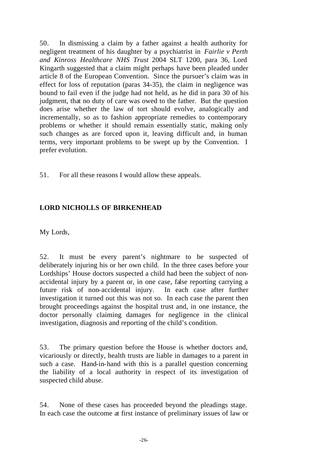50. In dismissing a claim by a father against a health authority for negligent treatment of his daughter by a psychiatrist in *Fairlie v Perth and Kinross Healthcare NHS Trust* 2004 SLT 1200, para 36, Lord Kingarth suggested that a claim might perhaps have been pleaded under article 8 of the European Convention. Since the pursuer's claim was in effect for loss of reputation (paras 34-35), the claim in negligence was bound to fail even if the judge had not held, as he did in para 30 of his judgment, that no duty of care was owed to the father. But the question does arise whether the law of tort should evolve, analogically and incrementally, so as to fashion appropriate remedies to contemporary problems or whether it should remain essentially static, making only such changes as are forced upon it, leaving difficult and, in human terms, very important problems to be swept up by the Convention. I prefer evolution.

51. For all these reasons I would allow these appeals.

#### **LORD NICHOLLS OF BIRKENHEAD**

My Lords,

52. It must be every parent's nightmare to be suspected of deliberately injuring his or her own child. In the three cases before your Lordships' House doctors suspected a child had been the subject of nonaccidental injury by a parent or, in one case, false reporting carrying a future risk of non-accidental injury. In each case after further investigation it turned out this was not so. In each case the parent then brought proceedings against the hospital trust and, in one instance, the doctor personally claiming damages for negligence in the clinical investigation, diagnosis and reporting of the child's condition.

53. The primary question before the House is whether doctors and, vicariously or directly, health trusts are liable in damages to a parent in such a case. Hand-in-hand with this is a parallel question concerning the liability of a local authority in respect of its investigation of suspected child abuse.

54. None of these cases has proceeded beyond the pleadings stage. In each case the outcome at first instance of preliminary issues of law or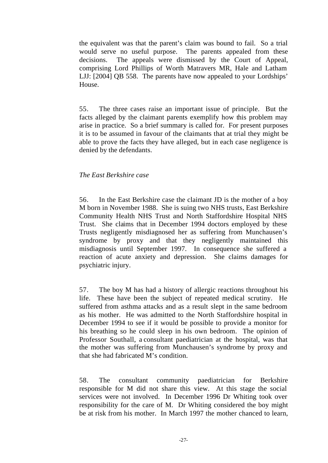the equivalent was that the parent's claim was bound to fail. So a trial would serve no useful purpose. The parents appealed from these decisions. The appeals were dismissed by the Court of Appeal, comprising Lord Phillips of Worth Matravers MR, Hale and Latham LJJ: [2004] QB 558. The parents have now appealed to your Lordships' House.

55. The three cases raise an important issue of principle. But the facts alleged by the claimant parents exemplify how this problem may arise in practice. So a brief summary is called for. For present purposes it is to be assumed in favour of the claimants that at trial they might be able to prove the facts they have alleged, but in each case negligence is denied by the defendants.

#### *The East Berkshire case*

56. In the East Berkshire case the claimant JD is the mother of a boy M born in November 1988. She is suing two NHS trusts, East Berkshire Community Health NHS Trust and North Staffordshire Hospital NHS Trust. She claims that in December 1994 doctors employed by these Trusts negligently misdiagnosed her as suffering from Munchausen's syndrome by proxy and that they negligently maintained this misdiagnosis until September 1997. In consequence she suffered a reaction of acute anxiety and depression. She claims damages for psychiatric injury.

57. The boy M has had a history of allergic reactions throughout his life. These have been the subject of repeated medical scrutiny. He suffered from asthma attacks and as a result slept in the same bedroom as his mother. He was admitted to the North Staffordshire hospital in December 1994 to see if it would be possible to provide a monitor for his breathing so he could sleep in his own bedroom. The opinion of Professor Southall, a consultant paediatrician at the hospital, was that the mother was suffering from Munchausen's syndrome by proxy and that she had fabricated M's condition.

58. The consultant community paediatrician for Berkshire responsible for M did not share this view. At this stage the social services were not involved. In December 1996 Dr Whiting took over responsibility for the care of M. Dr Whiting considered the boy might be at risk from his mother. In March 1997 the mother chanced to learn,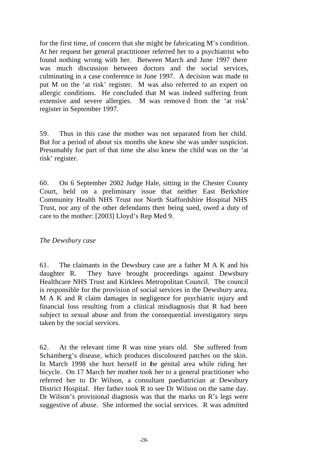for the first time, of concern that she might be fabricating M's condition. At her request her general practitioner referred her to a psychiatrist who found nothing wrong with her. Between March and June 1997 there was much discussion between doctors and the social services, culminating in a case conference in June 1997. A decision was made to put M on the 'at risk' register. M was also referred to an expert on allergic conditions. He concluded that M was indeed suffering from extensive and severe allergies. M was remove d from the 'at risk' register in September 1997.

59. Thus in this case the mother was not separated from her child. But for a period of about six months she knew she was under suspicion. Presumably for part of that time she also knew the child was on the 'at risk' register.

60. On 6 September 2002 Judge Hale, sitting in the Chester County Court, held on a preliminary issue that neither East Berkshire Community Health NHS Trust nor North Staffordshire Hospital NHS Trust, nor any of the other defendants then being sued, owed a duty of care to the mother: [2003] Lloyd's Rep Med 9.

#### *The Dewsbury case*

61. The claimants in the Dewsbury case are a father M A K and his daughter R. They have brought proceedings against Dewsbury Healthcare NHS Trust and Kirklees Metropolitan Council. The council is responsible for the provision of social services in the Dewsbury area. M A K and R claim damages in negligence for psychiatric injury and financial loss resulting from a clinical misdiagnosis that R had been subject to sexual abuse and from the consequential investigatory steps taken by the social services.

62. At the relevant time R was nine years old. She suffered from Schamberg's disease, which produces discoloured patches on the skin. In March 1998 she hurt herself in the genital area while riding her bicycle. On 17 March her mother took her to a general practitioner who referred her to Dr Wilson, a consultant paediatrician at Dewsbury District Hospital. Her father took R to see Dr Wilson on the same day. Dr Wilson's provisional diagnosis was that the marks on R's legs were suggestive of abuse. She informed the social services. R was admitted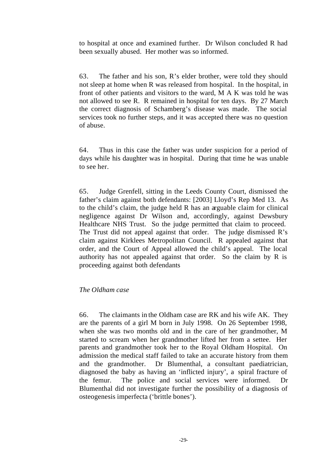to hospital at once and examined further. Dr Wilson concluded R had been sexually abused. Her mother was so informed.

63. The father and his son, R's elder brother, were told they should not sleep at home when R was released from hospital. In the hospital, in front of other patients and visitors to the ward, M A K was told he was not allowed to see R. R remained in hospital for ten days. By 27 March the correct diagnosis of Schamberg's disease was made. The social services took no further steps, and it was accepted there was no question of abuse.

64. Thus in this case the father was under suspicion for a period of days while his daughter was in hospital. During that time he was unable to see her.

65. Judge Grenfell, sitting in the Leeds County Court, dismissed the father's claim against both defendants: [2003] Lloyd's Rep Med 13. As to the child's claim, the judge held R has an arguable claim for clinical negligence against Dr Wilson and, accordingly, against Dewsbury Healthcare NHS Trust. So the judge permitted that claim to proceed. The Trust did not appeal against that order. The judge dismissed R's claim against Kirklees Metropolitan Council. R appealed against that order, and the Court of Appeal allowed the child's appeal. The local authority has not appealed against that order. So the claim by R is proceeding against both defendants

#### *The Oldham case*

66. The claimants in the Oldham case are RK and his wife AK. They are the parents of a girl M born in July 1998. On 26 September 1998, when she was two months old and in the care of her grandmother, M started to scream when her grandmother lifted her from a settee. Her parents and grandmother took her to the Royal Oldham Hospital. On admission the medical staff failed to take an accurate history from them and the grandmother. Dr Blumenthal, a consultant paediatrician, diagnosed the baby as having an 'inflicted injury', a spiral fracture of the femur. The police and social services were informed. Dr Blumenthal did not investigate further the possibility of a diagnosis of osteogenesis imperfecta ('brittle bones').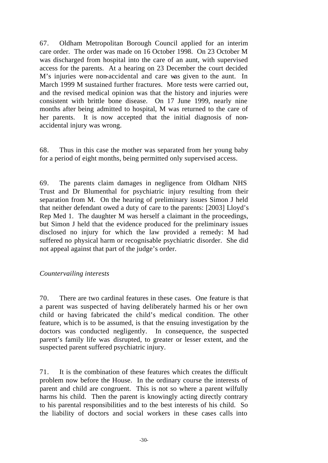67. Oldham Metropolitan Borough Council applied for an interim care order. The order was made on 16 October 1998. On 23 October M was discharged from hospital into the care of an aunt, with supervised access for the parents. At a hearing on 23 December the court decided M's injuries were non-accidental and care was given to the aunt. In March 1999 M sustained further fractures. More tests were carried out, and the revised medical opinion was that the history and injuries were consistent with brittle bone disease. On 17 June 1999, nearly nine months after being admitted to hospital, M was returned to the care of her parents. It is now accepted that the initial diagnosis of nonaccidental injury was wrong.

68. Thus in this case the mother was separated from her young baby for a period of eight months, being permitted only supervised access.

69. The parents claim damages in negligence from Oldham NHS Trust and Dr Blumenthal for psychiatric injury resulting from their separation from M. On the hearing of preliminary issues Simon J held that neither defendant owed a duty of care to the parents: [2003] Lloyd's Rep Med 1. The daughter M was herself a claimant in the proceedings, but Simon J held that the evidence produced for the preliminary issues disclosed no injury for which the law provided a remedy: M had suffered no physical harm or recognisable psychiatric disorder. She did not appeal against that part of the judge's order.

#### *Countervailing interests*

70. There are two cardinal features in these cases. One feature is that a parent was suspected of having deliberately harmed his or her own child or having fabricated the child's medical condition. The other feature, which is to be assumed, is that the ensuing investigation by the doctors was conducted negligently. In consequence, the suspected parent's family life was disrupted, to greater or lesser extent, and the suspected parent suffered psychiatric injury.

71. It is the combination of these features which creates the difficult problem now before the House. In the ordinary course the interests of parent and child are congruent. This is not so where a parent wilfully harms his child. Then the parent is knowingly acting directly contrary to his parental responsibilities and to the best interests of his child. So the liability of doctors and social workers in these cases calls into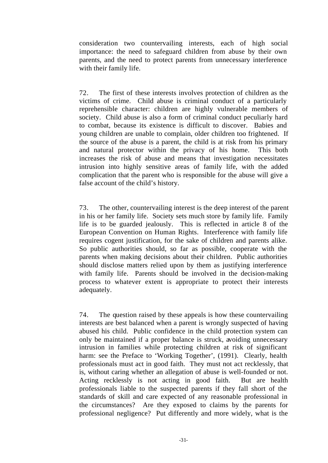consideration two countervailing interests, each of high social importance: the need to safeguard children from abuse by their own parents, and the need to protect parents from unnecessary interference with their family life.

72. The first of these interests involves protection of children as the victims of crime. Child abuse is criminal conduct of a particularly reprehensible character: children are highly vulnerable members of society. Child abuse is also a form of criminal conduct peculiarly hard to combat, because its existence is difficult to discover. Babies and young children are unable to complain, older children too frightened. If the source of the abuse is a parent, the child is at risk from his primary and natural protector within the privacy of his home. This both increases the risk of abuse and means that investigation necessitates intrusion into highly sensitive areas of family life, with the added complication that the parent who is responsible for the abuse will give a false account of the child's history.

73. The other, countervailing interest is the deep interest of the parent in his or her family life. Society sets much store by family life. Family life is to be guarded jealously. This is reflected in article 8 of the European Convention on Human Rights. Interference with family life requires cogent justification, for the sake of children and parents alike. So public authorities should, so far as possible, cooperate with the parents when making decisions about their children. Public authorities should disclose matters relied upon by them as justifying interference with family life. Parents should be involved in the decision-making process to whatever extent is appropriate to protect their interests adequately.

74. The question raised by these appeals is how these countervailing interests are best balanced when a parent is wrongly suspected of having abused his child. Public confidence in the child protection system can only be maintained if a proper balance is struck, avoiding unnecessary intrusion in families while protecting children at risk of significant harm: see the Preface to 'Working Together', (1991). Clearly, health professionals must act in good faith. They must not act recklessly, that is, without caring whether an allegation of abuse is well-founded or not. Acting recklessly is not acting in good faith. But are health professionals liable to the suspected parents if they fall short of the standards of skill and care expected of any reasonable professional in the circumstances? Are they exposed to claims by the parents for professional negligence? Put differently and more widely, what is the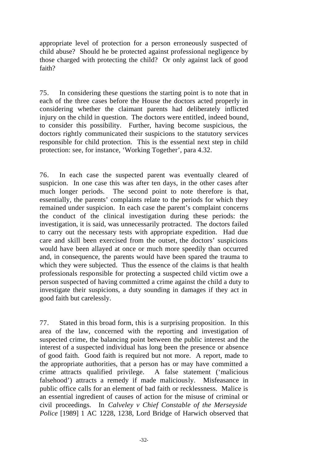appropriate level of protection for a person erroneously suspected of child abuse? Should he be protected against professional negligence by those charged with protecting the child? Or only against lack of good faith?

75. In considering these questions the starting point is to note that in each of the three cases before the House the doctors acted properly in considering whether the claimant parents had deliberately inflicted injury on the child in question. The doctors were entitled, indeed bound, to consider this possibility. Further, having become suspicious, the doctors rightly communicated their suspicions to the statutory services responsible for child protection. This is the essential next step in child protection: see, for instance, 'Working Together', para 4.32.

76. In each case the suspected parent was eventually cleared of suspicion. In one case this was after ten days, in the other cases after much longer periods. The second point to note therefore is that, essentially, the parents' complaints relate to the periods for which they remained under suspicion. In each case the parent's complaint concerns the conduct of the clinical investigation during these periods: the investigation, it is said, was unnecessarily protracted. The doctors failed to carry out the necessary tests with appropriate expedition. Had due care and skill been exercised from the outset, the doctors' suspicions would have been allayed at once or much more speedily than occurred and, in consequence, the parents would have been spared the trauma to which they were subjected. Thus the essence of the claims is that health professionals responsible for protecting a suspected child victim owe a person suspected of having committed a crime against the child a duty to investigate their suspicions, a duty sounding in damages if they act in good faith but carelessly.

77. Stated in this broad form, this is a surprising proposition. In this area of the law, concerned with the reporting and investigation of suspected crime, the balancing point between the public interest and the interest of a suspected individual has long been the presence or absence of good faith. Good faith is required but not more. A report, made to the appropriate authorities, that a person has or may have committed a crime attracts qualified privilege. A false statement ('malicious falsehood') attracts a remedy if made maliciously. Misfeasance in public office calls for an element of bad faith or recklessness. Malice is an essential ingredient of causes of action for the misuse of criminal or civil proceedings. In *Calveley v Chief Constable of the Merseyside Police* [1989] 1 AC 1228, 1238, Lord Bridge of Harwich observed that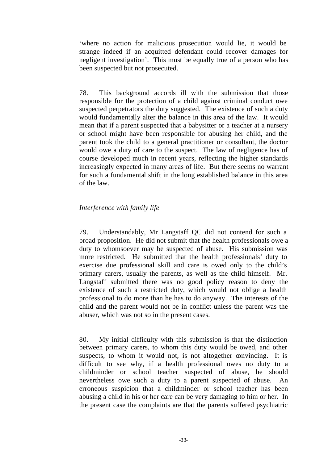'where no action for malicious prosecution would lie, it would be strange indeed if an acquitted defendant could recover damages for negligent investigation'. This must be equally true of a person who has been suspected but not prosecuted.

78. This background accords ill with the submission that those responsible for the protection of a child against criminal conduct owe suspected perpetrators the duty suggested. The existence of such a duty would fundamentally alter the balance in this area of the law. It would mean that if a parent suspected that a babysitter or a teacher at a nursery or school might have been responsible for abusing her child, and the parent took the child to a general practitioner or consultant, the doctor would owe a duty of care to the suspect. The law of negligence has of course developed much in recent years, reflecting the higher standards increasingly expected in many areas of life. But there seems no warrant for such a fundamental shift in the long established balance in this area of the law.

#### *Interference with family life*

79. Understandably, Mr Langstaff QC did not contend for such a broad proposition. He did not submit that the health professionals owe a duty to whomsoever may be suspected of abuse. His submission was more restricted. He submitted that the health professionals' duty to exercise due professional skill and care is owed only to the child's primary carers, usually the parents, as well as the child himself. Mr. Langstaff submitted there was no good policy reason to deny the existence of such a restricted duty, which would not oblige a health professional to do more than he has to do anyway. The interests of the child and the parent would not be in conflict unless the parent was the abuser, which was not so in the present cases.

80. My initial difficulty with this submission is that the distinction between primary carers, to whom this duty would be owed, and other suspects, to whom it would not, is not altogether convincing. It is difficult to see why, if a health professional owes no duty to a childminder or school teacher suspected of abuse, he should nevertheless owe such a duty to a parent suspected of abuse. An erroneous suspicion that a childminder or school teacher has been abusing a child in his or her care can be very damaging to him or her. In the present case the complaints are that the parents suffered psychiatric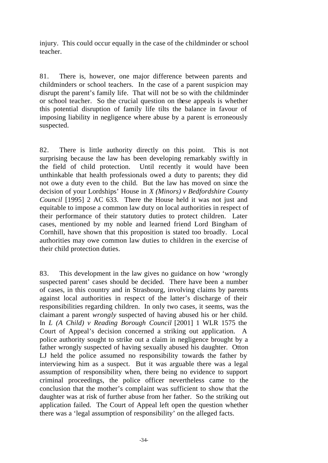injury. This could occur equally in the case of the childminder or school teacher.

81. There is, however, one major difference between parents and childminders or school teachers. In the case of a parent suspicion may disrupt the parent's family life. That will not be so with the childminder or school teacher. So the crucial question on these appeals is whether this potential disruption of family life tilts the balance in favour of imposing liability in negligence where abuse by a parent is erroneously suspected.

82. There is little authority directly on this point. This is not surprising because the law has been developing remarkably swiftly in the field of child protection. Until recently it would have been unthinkable that health professionals owed a duty to parents; they did not owe a duty even to the child. But the law has moved on since the decision of your Lordships' House in *X (Minors) v Bedfordshire County Council* [1995] 2 AC 633. There the House held it was not just and equitable to impose a common law duty on local authorities in respect of their performance of their statutory duties to protect children. Later cases, mentioned by my noble and learned friend Lord Bingham of Cornhill, have shown that this proposition is stated too broadly. Local authorities may owe common law duties to children in the exercise of their child protection duties.

83. This development in the law gives no guidance on how 'wrongly suspected parent' cases should be decided. There have been a number of cases, in this country and in Strasbourg, involving claims by parents against local authorities in respect of the latter's discharge of their responsibilities regarding children. In only two cases, it seems, was the claimant a parent *wrongly* suspected of having abused his or her child. In *L (A Child) v Reading Borough Council* [2001] 1 WLR 1575 the Court of Appeal's decision concerned a striking out application. A police authority sought to strike out a claim in negligence brought by a father wrongly suspected of having sexually abused his daughter. Otton LJ held the police assumed no responsibility towards the father by interviewing him as a suspect. But it was arguable there was a legal assumption of responsibility when, there being no evidence to support criminal proceedings, the police officer nevertheless came to the conclusion that the mother's complaint was sufficient to show that the daughter was at risk of further abuse from her father. So the striking out application failed. The Court of Appeal left open the question whether there was a 'legal assumption of responsibility' on the alleged facts.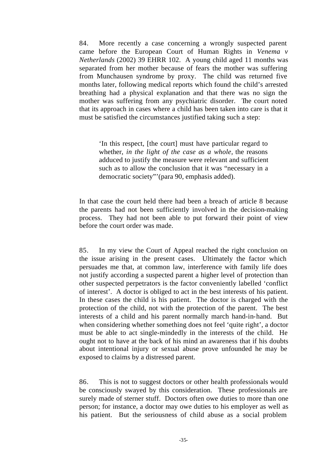84. More recently a case concerning a wrongly suspected parent came before the European Court of Human Rights in *Venema v Netherlands* (2002) 39 EHRR 102. A young child aged 11 months was separated from her mother because of fears the mother was suffering from Munchausen syndrome by proxy. The child was returned five months later, following medical reports which found the child's arrested breathing had a physical explanation and that there was no sign the mother was suffering from any psychiatric disorder. The court noted that its approach in cases where a child has been taken into care is that it must be satisfied the circumstances justified taking such a step:

'In this respect, [the court] must have particular regard to whether, *in the light of the case as a whole,* the reasons adduced to justify the measure were relevant and sufficient such as to allow the conclusion that it was "necessary in a democratic society"'(para 90, emphasis added).

In that case the court held there had been a breach of article 8 because the parents had not been sufficiently involved in the decision-making process. They had not been able to put forward their point of view before the court order was made.

85. In my view the Court of Appeal reached the right conclusion on the issue arising in the present cases. Ultimately the factor which persuades me that, at common law, interference with family life does not justify according a suspected parent a higher level of protection than other suspected perpetrators is the factor conveniently labelled 'conflict of interest'. A doctor is obliged to act in the best interests of his patient. In these cases the child is his patient. The doctor is charged with the protection of the child, not with the protection of the parent. The best interests of a child and his parent normally march hand-in-hand. But when considering whether something does not feel 'quite right', a doctor must be able to act single-mindedly in the interests of the child. He ought not to have at the back of his mind an awareness that if his doubts about intentional injury or sexual abuse prove unfounded he may be exposed to claims by a distressed parent.

86. This is not to suggest doctors or other health professionals would be consciously swayed by this consideration. These professionals are surely made of sterner stuff. Doctors often owe duties to more than one person; for instance, a doctor may owe duties to his employer as well as his patient. But the seriousness of child abuse as a social problem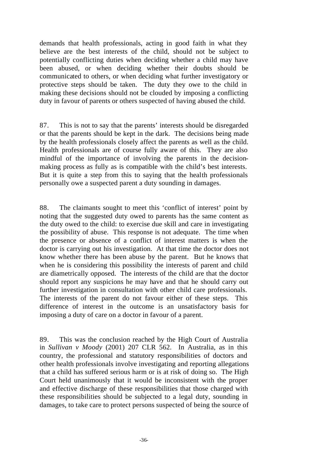demands that health professionals, acting in good faith in what they believe are the best interests of the child, should not be subject to potentially conflicting duties when deciding whether a child may have been abused, or when deciding whether their doubts should be communicated to others, or when deciding what further investigatory or protective steps should be taken. The duty they owe to the child in making these decisions should not be clouded by imposing a conflicting duty in favour of parents or others suspected of having abused the child.

87. This is not to say that the parents' interests should be disregarded or that the parents should be kept in the dark. The decisions being made by the health professionals closely affect the parents as well as the child. Health professionals are of course fully aware of this. They are also mindful of the importance of involving the parents in the decisionmaking process as fully as is compatible with the child's best interests. But it is quite a step from this to saying that the health professionals personally owe a suspected parent a duty sounding in damages.

88. The claimants sought to meet this 'conflict of interest' point by noting that the suggested duty owed to parents has the same content as the duty owed to the child: to exercise due skill and care in investigating the possibility of abuse. This response is not adequate. The time when the presence or absence of a conflict of interest matters is when the doctor is carrying out his investigation. At that time the doctor does not know whether there has been abuse by the parent. But he knows that when he is considering this possibility the interests of parent and child are diametrically opposed. The interests of the child are that the doctor should report any suspicions he may have and that he should carry out further investigation in consultation with other child care professionals. The interests of the parent do not favour either of these steps. This difference of interest in the outcome is an unsatisfactory basis for imposing a duty of care on a doctor in favour of a parent.

89. This was the conclusion reached by the High Court of Australia in *Sullivan v Moody* (2001) 207 CLR 562. In Australia, as in this country, the professional and statutory responsibilities of doctors and other health professionals involve investigating and reporting allegations that a child has suffered serious harm or is at risk of doing so. The High Court held unanimously that it would be inconsistent with the proper and effective discharge of these responsibilities that those charged with these responsibilities should be subjected to a legal duty, sounding in damages, to take care to protect persons suspected of being the source of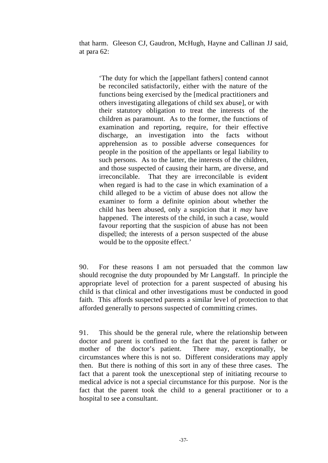that harm. Gleeson CJ, Gaudron, McHugh, Hayne and Callinan JJ said, at para 62:

'The duty for which the [appellant fathers] contend cannot be reconciled satisfactorily, either with the nature of the functions being exercised by the [medical practitioners and others investigating allegations of child sex abuse], or with their statutory obligation to treat the interests of the children as paramount. As to the former, the functions of examination and reporting, require, for their effective discharge, an investigation into the facts without apprehension as to possible adverse consequences for people in the position of the appellants or legal liability to such persons. As to the latter, the interests of the children, and those suspected of causing their harm, are diverse, and irreconcilable. That they are irreconcilable is evident when regard is had to the case in which examination of a child alleged to be a victim of abuse does not allow the examiner to form a definite opinion about whether the child has been abused, only a suspicion that it *may* have happened. The interests of the child, in such a case, would favour reporting that the suspicion of abuse has not been dispelled; the interests of a person suspected of the abuse would be to the opposite effect.'

90. For these reasons I am not persuaded that the common law should recognise the duty propounded by Mr Langstaff. In principle the appropriate level of protection for a parent suspected of abusing his child is that clinical and other investigations must be conducted in good faith. This affords suspected parents a similar level of protection to that afforded generally to persons suspected of committing crimes.

91. This should be the general rule, where the relationship between doctor and parent is confined to the fact that the parent is father or mother of the doctor's patient. There may, exceptionally, be circumstances where this is not so. Different considerations may apply then. But there is nothing of this sort in any of these three cases. The fact that a parent took the unexceptional step of initiating recourse to medical advice is not a special circumstance for this purpose. Nor is the fact that the parent took the child to a general practitioner or to a hospital to see a consultant.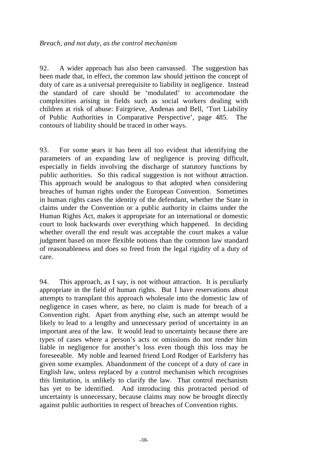92. A wider approach has also been canvassed. The suggestion has been made that, in effect, the common law should jettison the concept of duty of care as a universal prerequisite to liability in negligence. Instead the standard of care should be 'modulated' to accommodate the complexities arising in fields such as social workers dealing with children at risk of abuse: Fairgrieve, Andenas and Bell, 'Tort Liability of Public Authorities in Comparative Perspective', page 485. The contours of liability should be traced in other ways.

93. For some years it has been all too evident that identifying the parameters of an expanding law of negligence is proving difficult, especially in fields involving the discharge of statutory functions by public authorities. So this radical suggestion is not without attraction. This approach would be analogous to that adopted when considering breaches of human rights under the European Convention. Sometimes in human rights cases the identity of the defendant, whether the State in claims under the Convention or a public authority in claims under the Human Rights Act, makes it appropriate for an international or domestic court to look backwards over everything which happened. In deciding whether overall the end result was acceptable the court makes a value judgment based on more flexible notions than the common law standard of reasonableness and does so freed from the legal rigidity of a duty of care.

94. This approach, as I say, is not without attraction. It is peculiarly appropriate in the field of human rights. But I have reservations about attempts to transplant this approach wholesale into the domestic law of negligence in cases where, as here, no claim is made for breach of a Convention right. Apart from anything else, such an attempt would be likely to lead to a lengthy and unnecessary period of uncertainty in an important area of the law. It would lead to uncertainty because there are types of cases where a person's acts or omissions do not render him liable in negligence for another's loss even though this loss may be foreseeable. My noble and learned friend Lord Rodger of Earlsferry has given some examples. Abandonment of the concept of a duty of care in English law, unless replaced by a control mechanism which recognises this limitation, is unlikely to clarify the law. That control mechanism has yet to be identified. And introducing this protracted period of uncertainty is unnecessary, because claims may now be brought directly against public authorities in respect of breaches of Convention rights.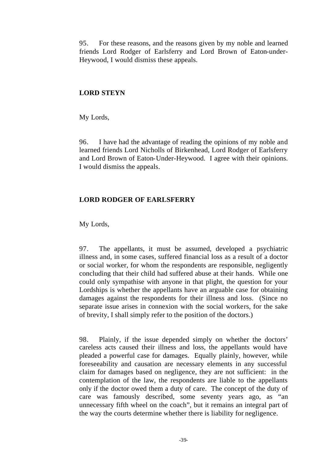95. For these reasons, and the reasons given by my noble and learned friends Lord Rodger of Earlsferry and Lord Brown of Eaton-under-Heywood, I would dismiss these appeals.

#### **LORD STEYN**

My Lords,

96. I have had the advantage of reading the opinions of my noble and learned friends Lord Nicholls of Birkenhead, Lord Rodger of Earlsferry and Lord Brown of Eaton-Under-Heywood. I agree with their opinions. I would dismiss the appeals.

#### **LORD RODGER OF EARLSFERRY**

My Lords,

97. The appellants, it must be assumed, developed a psychiatric illness and, in some cases, suffered financial loss as a result of a doctor or social worker, for whom the respondents are responsible, negligently concluding that their child had suffered abuse at their hands. While one could only sympathise with anyone in that plight, the question for your Lordships is whether the appellants have an arguable case for obtaining damages against the respondents for their illness and loss. (Since no separate issue arises in connexion with the social workers, for the sake of brevity, I shall simply refer to the position of the doctors.)

98. Plainly, if the issue depended simply on whether the doctors' careless acts caused their illness and loss, the appellants would have pleaded a powerful case for damages. Equally plainly, however, while foreseeability and causation are necessary elements in any successful claim for damages based on negligence, they are not sufficient: in the contemplation of the law, the respondents are liable to the appellants only if the doctor owed them a duty of care. The concept of the duty of care was famously described, some seventy years ago, as "an unnecessary fifth wheel on the coach", but it remains an integral part of the way the courts determine whether there is liability for negligence.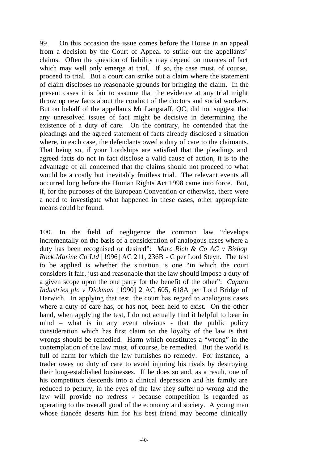99. On this occasion the issue comes before the House in an appeal from a decision by the Court of Appeal to strike out the appellants' claims. Often the question of liability may depend on nuances of fact which may well only emerge at trial. If so, the case must, of course, proceed to trial. But a court can strike out a claim where the statement of claim discloses no reasonable grounds for bringing the claim. In the present cases it is fair to assume that the evidence at any trial might throw up new facts about the conduct of the doctors and social workers. But on behalf of the appellants Mr Langstaff, QC, did not suggest that any unresolved issues of fact might be decisive in determining the existence of a duty of care. On the contrary, he contended that the pleadings and the agreed statement of facts already disclosed a situation where, in each case, the defendants owed a duty of care to the claimants. That being so, if your Lordships are satisfied that the pleadings and agreed facts do not in fact disclose a valid cause of action, it is to the advantage of all concerned that the claims should not proceed to what would be a costly but inevitably fruitless trial. The relevant events all occurred long before the Human Rights Act 1998 came into force. But, if, for the purposes of the European Convention or otherwise, there were a need to investigate what happened in these cases, other appropriate means could be found.

100. In the field of negligence the common law "develops incrementally on the basis of a consideration of analogous cases where a duty has been recognised or desired": *Marc Rich & Co AG v Bishop Rock Marine Co Ltd* [1996] AC 211, 236B - C per Lord Steyn. The test to be applied is whether the situation is one "in which the court considers it fair, just and reasonable that the law should impose a duty of a given scope upon the one party for the benefit of the other": *Caparo Industries plc v Dickman* [1990] 2 AC 605, 618A per Lord Bridge of Harwich. In applying that test, the court has regard to analogous cases where a duty of care has, or has not, been held to exist. On the other hand, when applying the test, I do not actually find it helpful to bear in mind – what is in any event obvious - that the public policy consideration which has first claim on the loyalty of the law is that wrongs should be remedied. Harm which constitutes a "wrong" in the contemplation of the law must, of course, be remedied. But the world is full of harm for which the law furnishes no remedy. For instance, a trader owes no duty of care to avoid injuring his rivals by destroying their long-established businesses. If he does so and, as a result, one of his competitors descends into a clinical depression and his family are reduced to penury, in the eyes of the law they suffer no wrong and the law will provide no redress - because competition is regarded as operating to the overall good of the economy and society. A young man whose fiancée deserts him for his best friend may become clinically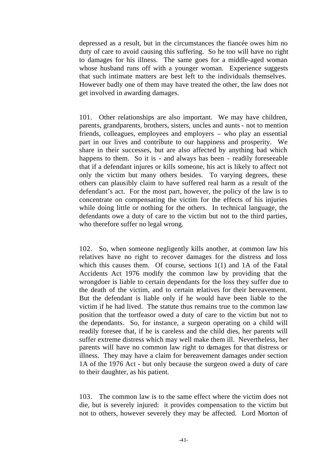depressed as a result, but in the circumstances the fiancée owes him no duty of care to avoid causing this suffering. So he too will have no right to damages for his illness. The same goes for a middle-aged woman whose husband runs off with a younger woman. Experience suggests that such intimate matters are best left to the individuals themselves. However badly one of them may have treated the other, the law does not get involved in awarding damages.

101. Other relationships are also important. We may have children, parents, grandparents, brothers, sisters, uncles and aunts - not to mention friends, colleagues, employees and employers – who play an essential part in our lives and contribute to our happiness and prosperity. We share in their successes, but are also affected by anything bad which happens to them. So it is - and always has been - readily foreseeable that if a defendant injures or kills someone, his act is likely to affect not only the victim but many others besides. To varying degrees, these others can plausibly claim to have suffered real harm as a result of the defendant's act. For the most part, however, the policy of the law is to concentrate on compensating the victim for the effects of his injuries while doing little or nothing for the others. In technical language, the defendants owe a duty of care to the victim but not to the third parties, who therefore suffer no legal wrong.

102. So, when someone negligently kills another, at common law his relatives have no right to recover damages for the distress and loss which this causes them. Of course, sections 1(1) and 1A of the Fatal Accidents Act 1976 modify the common law by providing that the wrongdoer is liable to certain dependants for the loss they suffer due to the death of the victim, and to certain relatives for their bereavement. But the defendant is liable only if he would have been liable to the victim if he had lived. The statute thus remains true to the common law position that the tortfeasor owed a duty of care to the victim but not to the dependants. So, for instance, a surgeon operating on a child will readily foresee that, if he is careless and the child dies, her parents will suffer extreme distress which may well make them ill. Nevertheless, her parents will have no common law right to damages for that distress or illness. They may have a claim for bereavement damages under section 1A of the 1976 Act - but only because the surgeon owed a duty of care to their daughter, as his patient.

103. The common law is to the same effect where the victim does not die, but is severely injured: it provides compensation to the victim but not to others, however severely they may be affected. Lord Morton of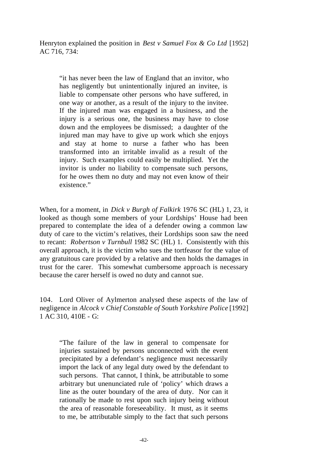Henryton explained the position in *Best v Samuel Fox & Co Ltd* [1952] AC 716, 734:

"it has never been the law of England that an invitor, who has negligently but unintentionally injured an invitee, is liable to compensate other persons who have suffered, in one way or another, as a result of the injury to the invitee. If the injured man was engaged in a business, and the injury is a serious one, the business may have to close down and the employees be dismissed; a daughter of the injured man may have to give up work which she enjoys and stay at home to nurse a father who has been transformed into an irritable invalid as a result of the injury. Such examples could easily be multiplied. Yet the invitor is under no liability to compensate such persons, for he owes them no duty and may not even know of their existence."

When, for a moment, in *Dick v Burgh of Falkirk* 1976 SC (HL) 1, 23, it looked as though some members of your Lordships' House had been prepared to contemplate the idea of a defender owing a common law duty of care to the victim's relatives, their Lordships soon saw the need to recant: *Robertson v Turnbull* 1982 SC (HL) 1. Consistently with this overall approach, it is the victim who sues the tortfeasor for the value of any gratuitous care provided by a relative and then holds the damages in trust for the carer. This somewhat cumbersome approach is necessary because the carer herself is owed no duty and cannot sue.

104. Lord Oliver of Aylmerton analysed these aspects of the law of negligence in *Alcock v Chief Constable of South Yorkshire Police* [1992] 1 AC 310, 410E - G:

"The failure of the law in general to compensate for injuries sustained by persons unconnected with the event precipitated by a defendant's negligence must necessarily import the lack of any legal duty owed by the defendant to such persons. That cannot, I think, be attributable to some arbitrary but unenunciated rule of 'policy' which draws a line as the outer boundary of the area of duty. Nor can it rationally be made to rest upon such injury being without the area of reasonable foreseeability. It must, as it seems to me, be attributable simply to the fact that such persons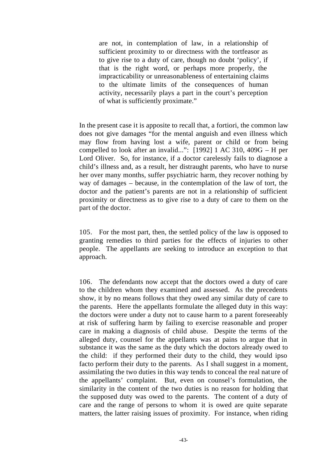are not, in contemplation of law, in a relationship of sufficient proximity to or directness with the tortfeasor as to give rise to a duty of care, though no doubt 'policy', if that is the right word, or perhaps more properly, the impracticability or unreasonableness of entertaining claims to the ultimate limits of the consequences of human activity, necessarily plays a part in the court's perception of what is sufficiently proximate."

In the present case it is apposite to recall that, a fortiori, the common law does not give damages "for the mental anguish and even illness which may flow from having lost a wife, parent or child or from being compelled to look after an invalid...": [1992] 1 AC 310, 409G – H per Lord Oliver. So, for instance, if a doctor carelessly fails to diagnose a child's illness and, as a result, her distraught parents, who have to nurse her over many months, suffer psychiatric harm, they recover nothing by way of damages – because, in the contemplation of the law of tort, the doctor and the patient's parents are not in a relationship of sufficient proximity or directness as to give rise to a duty of care to them on the part of the doctor.

105. For the most part, then, the settled policy of the law is opposed to granting remedies to third parties for the effects of injuries to other people. The appellants are seeking to introduce an exception to that approach.

106. The defendants now accept that the doctors owed a duty of care to the children whom they examined and assessed. As the precedents show, it by no means follows that they owed any similar duty of care to the parents. Here the appellants formulate the alleged duty in this way: the doctors were under a duty not to cause harm to a parent foreseeably at risk of suffering harm by failing to exercise reasonable and proper care in making a diagnosis of child abuse. Despite the terms of the alleged duty, counsel for the appellants was at pains to argue that in substance it was the same as the duty which the doctors already owed to the child: if they performed their duty to the child, they would ipso facto perform their duty to the parents. As I shall suggest in a moment, assimilating the two duties in this way tends to conceal the real nat ure of the appellants' complaint. But, even on counsel's formulation, the similarity in the content of the two duties is no reason for holding that the supposed duty was owed to the parents. The content of a duty of care and the range of persons to whom it is owed are quite separate matters, the latter raising issues of proximity. For instance, when riding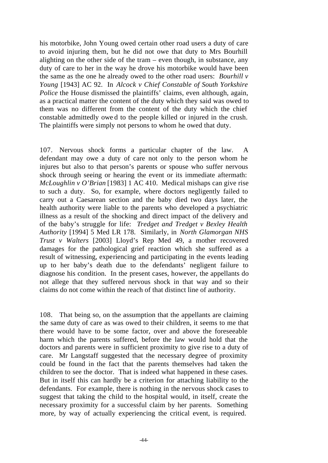his motorbike, John Young owed certain other road users a duty of care to avoid injuring them, but he did not owe that duty to Mrs Bourhill alighting on the other side of the tram – even though, in substance, any duty of care to her in the way he drove his motorbike would have been the same as the one he already owed to the other road users: *Bourhill v Young* [1943] AC 92. In *Alcock v Chief Constable of South Yorkshire Police* the House dismissed the plaintiffs' claims, even although, again, as a practical matter the content of the duty which they said was owed to them was no different from the content of the duty which the chief constable admittedly owe d to the people killed or injured in the crush. The plaintiffs were simply not persons to whom he owed that duty.

107. Nervous shock forms a particular chapter of the law. A defendant may owe a duty of care not only to the person whom he injures but also to that person's parents or spouse who suffer nervous shock through seeing or hearing the event or its immediate aftermath: *McLoughlin v O'Brian* [1983] 1 AC 410. Medical mishaps can give rise to such a duty. So, for example, where doctors negligently failed to carry out a Caesarean section and the baby died two days later, the health authority were liable to the parents who developed a psychiatric illness as a result of the shocking and direct impact of the delivery and of the baby's struggle for life: *Tredget and Tredget v Bexley Health Authority* [1994] 5 Med LR 178. Similarly, in *North Glamorgan NHS Trust v Walters* [2003] Lloyd's Rep Med 49, a mother recovered damages for the pathological grief reaction which she suffered as a result of witnessing, experiencing and participating in the events leading up to her baby's death due to the defendants' negligent failure to diagnose his condition. In the present cases, however, the appellants do not allege that they suffered nervous shock in that way and so their claims do not come within the reach of that distinct line of authority.

108. That being so, on the assumption that the appellants are claiming the same duty of care as was owed to their children, it seems to me that there would have to be some factor, over and above the foreseeable harm which the parents suffered, before the law would hold that the doctors and parents were in sufficient proximity to give rise to a duty of care. Mr Langstaff suggested that the necessary degree of proximity could be found in the fact that the parents themselves had taken the children to see the doctor. That is indeed what happened in these cases. But in itself this can hardly be a criterion for attaching liability to the defendants. For example, there is nothing in the nervous shock cases to suggest that taking the child to the hospital would, in itself, create the necessary proximity for a successful claim by her parents. Something more, by way of actually experiencing the critical event, is required.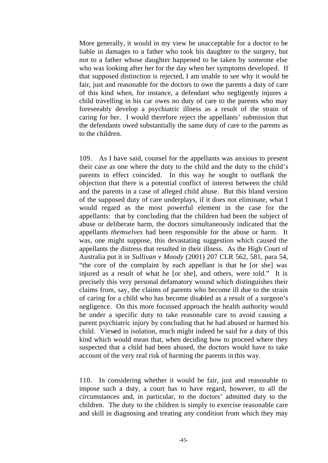More generally, it would in my view be unacceptable for a doctor to be liable in damages to a father who took his daughter to the surgery, but not to a father whose daughter happened to be taken by someone else who was looking after her for the day when her symptoms developed. If that supposed distinction is rejected, I am unable to see why it would be fair, just and reasonable for the doctors to owe the parents a duty of care of this kind when, for instance, a defendant who negligently injures a child travelling in his car owes no duty of care to the parents who may foreseeably develop a psychiatric illness as a result of the strain of caring for her. I would therefore reject the appellants' submission that the defendants owed substantially the same duty of care to the parents as to the children.

109. As I have said, counsel for the appellants was anxious to present their case as one where the duty to the child and the duty to the child's parents in effect coincided. In this way he sought to outflank the objection that there is a potential conflict of interest between the child and the parents in a case of alleged child abuse. But this bland version of the supposed duty of care underplays, if it does not eliminate, what I would regard as the most powerful element in the case for the appellants: that by concluding that the children had been the subject of abuse or deliberate harm, the doctors simultaneously indicated that the appellants *themselves* had been responsible for the abuse or harm. It was, one might suppose, this devastating suggestion which caused the appellants the distress that resulted in their illness. As the High Court of Australia put it in *Sullivan v Moody* (2001) 207 CLR 562, 581, para 54, "the core of the complaint by each appellant is that he [or she] was injured as a result of what he [or she], and others, were told." It is precisely this very personal defamatory wound which distinguishes their claims from, say, the claims of parents who become ill due to the strain of caring for a child who has become disabled as a result of a surgeon's negligence. On this more focussed approach the health authority would be under a specific duty to take reasonable care to avoid causing a parent psychiatric injury by concluding that he had abused or harmed his child. Viewed in isolation, much might indeed be said for a duty of this kind which would mean that, when deciding how to proceed where they suspected that a child had been abused, the doctors would have to take account of the very real risk of harming the parents in this way.

110. In considering whether it would be fair, just and reasonable to impose such a duty, a court has to have regard, however, to all the circumstances and, in particular, to the doctors' admitted duty to the children. The duty to the children is simply to exercise reasonable care and skill in diagnosing and treating any condition from which they may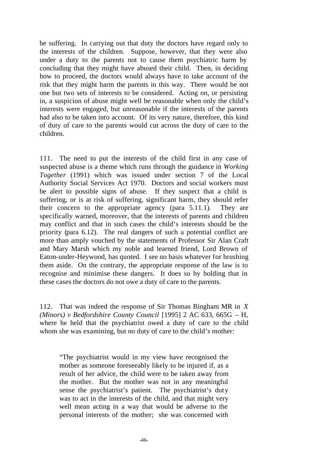be suffering. In carrying out that duty the doctors have regard only to the interests of the children. Suppose, however, that they were also under a duty to the parents not to cause them psychiatric harm by concluding that they might have abused their child. Then, in deciding how to proceed, the doctors would always have to take account of the risk that they might harm the parents in this way. There would be not one but two sets of interests to be considered. Acting on, or persisting in, a suspicion of abuse might well be reasonable when only the child's interests were engaged, but unreasonable if the interests of the parents had also to be taken into account. Of its very nature, therefore, this kind of duty of care to the parents would cut across the duty of care to the children.

111. The need to put the interests of the child first in any case of suspected abuse is a theme which runs through the guidance in *Working Together* (1991) which was issued under section 7 of the Local Authority Social Services Act 1970. Doctors and social workers must be alert to possible signs of abuse. If they suspect that a child is suffering, or is at risk of suffering, significant harm, they should refer their concern to the appropriate agency (para 5.11.1). They are specifically warned, moreover, that the interests of parents and children may conflict and that in such cases the child's interests should be the priority (para 6.12). The real dangers of such a potential conflict are more than amply vouched by the statements of Professor Sir Alan Craft and Mary Marsh which my noble and learned friend, Lord Brown of Eaton-under-Heywood, has quoted. I see no basis whatever for brushing them aside. On the contrary, the appropriate response of the law is to recognise and minimise these dangers. It does so by holding that in these cases the doctors do not owe a duty of care to the parents.

112. That was indeed the response of Sir Thomas Bingham MR in *X (Minors) v Bedfordshire County Council* [1995] 2 AC 633, 665G – H, where he held that the psychiatrist owed a duty of care to the child whom she was examining, but no duty of care to the child's mother:

"The psychiatrist would in my view have recognised the mother as someone foreseeably likely to be injured if, as a result of her advice, the child were to be taken away from the mother. But the mother was not in any meaningful sense the psychiatrist's patient. The psychiatrist's duty was to act in the interests of the child, and that might very well mean acting in a way that would be adverse to the personal interests of the mother; she was concerned with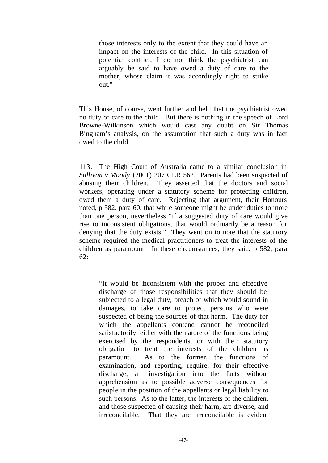those interests only to the extent that they could have an impact on the interests of the child. In this situation of potential conflict, I do not think the psychiatrist can arguably be said to have owed a duty of care to the mother, whose claim it was accordingly right to strike out."

This House, of course, went further and held that the psychiatrist owed no duty of care to the child. But there is nothing in the speech of Lord Browne-Wilkinson which would cast any doubt on Sir Thomas Bingham's analysis, on the assumption that such a duty was in fact owed to the child.

113. The High Court of Australia came to a similar conclusion in *Sullivan v Moody* (2001) 207 CLR 562. Parents had been suspected of abusing their children. They asserted that the doctors and social workers, operating under a statutory scheme for protecting children, owed them a duty of care. Rejecting that argument, their Honours noted, p 582, para 60, that while someone might be under duties to more than one person, nevertheless "if a suggested duty of care would give rise to inconsistent obligations, that would ordinarily be a reason for denying that the duty exists." They went on to note that the statutory scheme required the medical practitioners to treat the interests of the children as paramount. In these circumstances, they said, p 582, para 62:

"It would be inconsistent with the proper and effective discharge of those responsibilities that they should be subjected to a legal duty, breach of which would sound in damages, to take care to protect persons who were suspected of being the sources of that harm. The duty for which the appellants contend cannot be reconciled satisfactorily, either with the nature of the functions being exercised by the respondents, or with their statutory obligation to treat the interests of the children as paramount. As to the former, the functions of examination, and reporting, require, for their effective discharge, an investigation into the facts without apprehension as to possible adverse consequences for people in the position of the appellants or legal liability to such persons. As to the latter, the interests of the children, and those suspected of causing their harm, are diverse, and irreconcilable. That they are irreconcilable is evident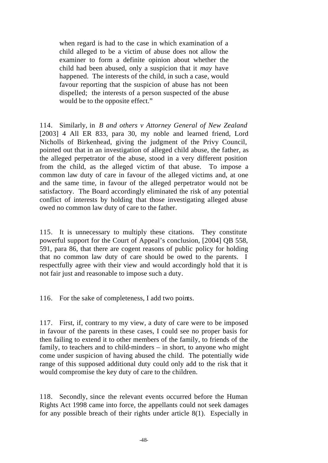when regard is had to the case in which examination of a child alleged to be a victim of abuse does not allow the examiner to form a definite opinion about whether the child had been abused, only a suspicion that it *may* have happened. The interests of the child, in such a case, would favour reporting that the suspicion of abuse has not been dispelled; the interests of a person suspected of the abuse would be to the opposite effect."

114. Similarly, in *B and others v Attorney General of New Zealand*  [2003] 4 All ER 833, para 30, my noble and learned friend, Lord Nicholls of Birkenhead, giving the judgment of the Privy Council, pointed out that in an investigation of alleged child abuse, the father, as the alleged perpetrator of the abuse, stood in a very different position from the child, as the alleged victim of that abuse. To impose a common law duty of care in favour of the alleged victims and, at one and the same time, in favour of the alleged perpetrator would not be satisfactory. The Board accordingly eliminated the risk of any potential conflict of interests by holding that those investigating alleged abuse owed no common law duty of care to the father.

115. It is unnecessary to multiply these citations. They constitute powerful support for the Court of Appeal's conclusion, [2004] QB 558, 591, para 86, that there are cogent reasons of public policy for holding that no common law duty of care should be owed to the parents. I respectfully agree with their view and would accordingly hold that it is not fair just and reasonable to impose such a duty.

116. For the sake of completeness, I add two points.

117. First, if, contrary to my view, a duty of care were to be imposed in favour of the parents in these cases, I could see no proper basis for then failing to extend it to other members of the family, to friends of the family, to teachers and to child-minders – in short, to anyone who might come under suspicion of having abused the child. The potentially wide range of this supposed additional duty could only add to the risk that it would compromise the key duty of care to the children.

118. Secondly, since the relevant events occurred before the Human Rights Act 1998 came into force, the appellants could not seek damages for any possible breach of their rights under article 8(1). Especially in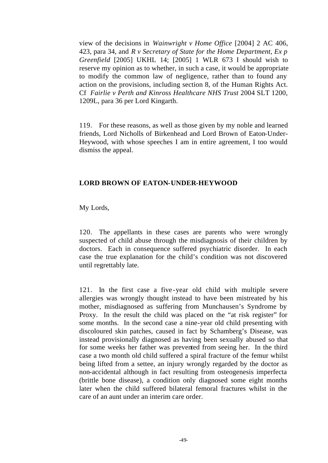view of the decisions in *Wainwright v Home Office* [2004] 2 AC 406, 423, para 34, and *R v Secretary of State for the Home Department, Ex p Greenfield* [2005] UKHL 14; [2005] 1 WLR 673 I should wish to reserve my opinion as to whether, in such a case, it would be appropriate to modify the common law of negligence, rather than to found any action on the provisions, including section 8, of the Human Rights Act. Cf *Fairlie v Perth and Kinross Healthcare NHS Trust* 2004 SLT 1200, 1209L, para 36 per Lord Kingarth.

119. For these reasons, as well as those given by my noble and learned friends, Lord Nicholls of Birkenhead and Lord Brown of Eaton-Under-Heywood, with whose speeches I am in entire agreement, I too would dismiss the appeal.

#### **LORD BROWN OF EATON-UNDER-HEYWOOD**

My Lords,

120. The appellants in these cases are parents who were wrongly suspected of child abuse through the misdiagnosis of their children by doctors. Each in consequence suffered psychiatric disorder. In each case the true explanation for the child's condition was not discovered until regrettably late.

121. In the first case a five -year old child with multiple severe allergies was wrongly thought instead to have been mistreated by his mother, misdiagnosed as suffering from Munchausen's Syndrome by Proxy. In the result the child was placed on the "at risk register" for some months. In the second case a nine-year old child presenting with discoloured skin patches, caused in fact by Schamberg's Disease, was instead provisionally diagnosed as having been sexually abused so that for some weeks her father was prevented from seeing her. In the third case a two month old child suffered a spiral fracture of the femur whilst being lifted from a settee, an injury wrongly regarded by the doctor as non-accidental although in fact resulting from osteogenesis imperfecta (brittle bone disease), a condition only diagnosed some eight months later when the child suffered bilateral femoral fractures whilst in the care of an aunt under an interim care order.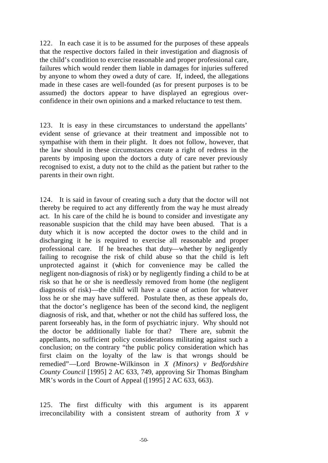122. In each case it is to be assumed for the purposes of these appeals that the respective doctors failed in their investigation and diagnosis of the child's condition to exercise reasonable and proper professional care, failures which would render them liable in damages for injuries suffered by anyone to whom they owed a duty of care. If, indeed, the allegations made in these cases are well-founded (as for present purposes is to be assumed) the doctors appear to have displayed an egregious overconfidence in their own opinions and a marked reluctance to test them.

123. It is easy in these circumstances to understand the appellants' evident sense of grievance at their treatment and impossible not to sympathise with them in their plight. It does not follow, however, that the law should in these circumstances create a right of redress in the parents by imposing upon the doctors a duty of care never previously recognised to exist, a duty not to the child as the patient but rather to the parents in their own right.

124. It is said in favour of creating such a duty that the doctor will not thereby be required to act any differently from the way he must already act. In his care of the child he is bound to consider and investigate any reasonable suspicion that the child may have been abused. That is a duty which it is now accepted the doctor owes to the child and in discharging it he is required to exercise all reasonable and proper professional care. If he breaches that duty—whether by negligently failing to recognise the risk of child abuse so that the child is left unprotected against it (which for convenience may be called the negligent non-diagnosis of risk) or by negligently finding a child to be at risk so that he or she is needlessly removed from home (the negligent diagnosis of risk)—the child will have a cause of action for whatever loss he or she may have suffered. Postulate then, as these appeals do, that the doctor's negligence has been of the second kind, the negligent diagnosis of risk, and that, whether or not the child has suffered loss, the parent forseeably has, in the form of psychiatric injury. Why should not the doctor be additionally liable for that? There are, submit the appellants, no sufficient policy considerations militating against such a conclusion; on the contrary "the public policy consideration which has first claim on the loyalty of the law is that wrongs should be remedied"—Lord Browne-Wilkinson in *X (Minors) v Bedfordshire County Council* [1995] 2 AC 633, 749, approving Sir Thomas Bingham MR's words in the Court of Appeal ([1995] 2 AC 633, 663).

125. The first difficulty with this argument is its apparent irreconcilability with a consistent stream of authority from *X v*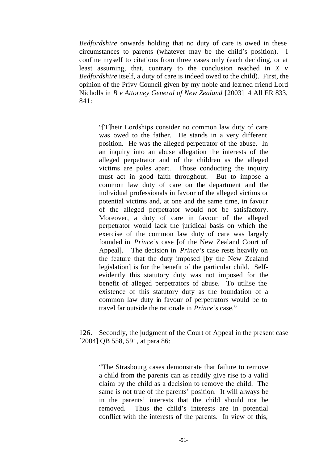*Bedfordshire* onwards holding that no duty of care is owed in these circumstances to parents (whatever may be the child's position). I confine myself to citations from three cases only (each deciding, or at least assuming, that, contrary to the conclusion reached in *X v Bedfordshire* itself, a duty of care is indeed owed to the child). First, the opinion of the Privy Council given by my noble and learned friend Lord Nicholls in *B v Attorney General of New Zealand* [2003] 4 All ER 833, 841:

"[T]heir Lordships consider no common law duty of care was owed to the father. He stands in a very different position. He was the alleged perpetrator of the abuse. In an inquiry into an abuse allegation the interests of the alleged perpetrator and of the children as the alleged victims are poles apart. Those conducting the inquiry must act in good faith throughout. But to impose a common law duty of care on the department and the individual professionals in favour of the alleged victims or potential victims and, at one and the same time, in favour of the alleged perpetrator would not be satisfactory. Moreover, a duty of care in favour of the alleged perpetrator would lack the juridical basis on which the exercise of the common law duty of care was largely founded in *Prince's* case [of the New Zealand Court of Appeal]. The decision in *Prince's* case rests heavily on the feature that the duty imposed [by the New Zealand legislation] is for the benefit of the particular child. Selfevidently this statutory duty was not imposed for the benefit of alleged perpetrators of abuse. To utilise the existence of this statutory duty as the foundation of a common law duty in favour of perpetrators would be to travel far outside the rationale in *Prince's* case."

126. Secondly, the judgment of the Court of Appeal in the present case [2004] QB 558, 591, at para 86:

"The Strasbourg cases demonstrate that failure to remove a child from the parents can as readily give rise to a valid claim by the child as a decision to remove the child. The same is not true of the parents' position. It will always be in the parents' interests that the child should not be removed. Thus the child's interests are in potential conflict with the interests of the parents. In view of this,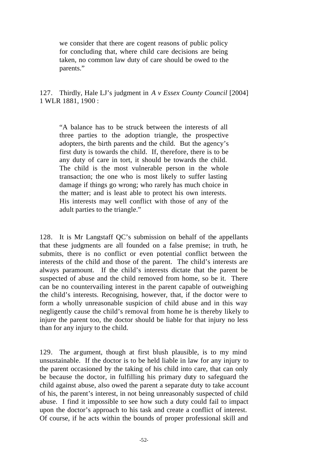we consider that there are cogent reasons of public policy for concluding that, where child care decisions are being taken, no common law duty of care should be owed to the parents."

127. Thirdly, Hale LJ's judgment in *A v Essex County Council* [2004] 1 WLR 1881, 1900 :

"A balance has to be struck between the interests of all three parties to the adoption triangle, the prospective adopters, the birth parents and the child. But the agency's first duty is towards the child. If, therefore, there is to be any duty of care in tort, it should be towards the child. The child is the most vulnerable person in the whole transaction; the one who is most likely to suffer lasting damage if things go wrong; who rarely has much choice in the matter; and is least able to protect his own interests. His interests may well conflict with those of any of the adult parties to the triangle."

128. It is Mr Langstaff QC's submission on behalf of the appellants that these judgments are all founded on a false premise; in truth, he submits, there is no conflict or even potential conflict between the interests of the child and those of the parent. The child's interests are always paramount. If the child's interests dictate that the parent be suspected of abuse and the child removed from home, so be it. There can be no countervailing interest in the parent capable of outweighing the child's interests. Recognising, however, that, if the doctor were to form a wholly unreasonable suspicion of child abuse and in this way negligently cause the child's removal from home he is thereby likely to injure the parent too, the doctor should be liable for that injury no less than for any injury to the child.

129. The argument, though at first blush plausible, is to my mind unsustainable. If the doctor is to be held liable in law for any injury to the parent occasioned by the taking of his child into care, that can only be because the doctor, in fulfilling his primary duty to safeguard the child against abuse, also owed the parent a separate duty to take account of his, the parent's interest, in not being unreasonably suspected of child abuse. I find it impossible to see how such a duty could fail to impact upon the doctor's approach to his task and create a conflict of interest. Of course, if he acts within the bounds of proper professional skill and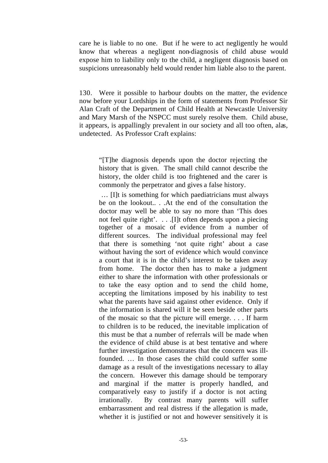care he is liable to no one. But if he were to act negligently he would know that whereas a negligent non-diagnosis of child abuse would expose him to liability only to the child, a negligent diagnosis based on suspicions unreasonably held would render him liable also to the parent.

130. Were it possible to harbour doubts on the matter, the evidence now before your Lordships in the form of statements from Professor Sir Alan Craft of the Department of Child Health at Newcastle University and Mary Marsh of the NSPCC must surely resolve them. Child abuse, it appears, is appallingly prevalent in our society and all too often, alas, undetected. As Professor Craft explains:

"[T]he diagnosis depends upon the doctor rejecting the history that is given. The small child cannot describe the history, the older child is too frightened and the carer is commonly the perpetrator and gives a false history.

 … [I]t is something for which paediatricians must always be on the lookout.. . .At the end of the consultation the doctor may well be able to say no more than 'This does not feel quite right'. . . .[I]t often depends upon a piecing together of a mosaic of evidence from a number of different sources. The individual professional may feel that there is something 'not quite right' about a case without having the sort of evidence which would convince a court that it is in the child's interest to be taken away from home. The doctor then has to make a judgment either to share the information with other professionals or to take the easy option and to send the child home, accepting the limitations imposed by his inability to test what the parents have said against other evidence. Only if the information is shared will it be seen beside other parts of the mosaic so that the picture will emerge. . . . If harm to children is to be reduced, the inevitable implication of this must be that a number of referrals will be made when the evidence of child abuse is at best tentative and where further investigation demonstrates that the concern was illfounded. … In those cases the child could suffer some damage as a result of the investigations necessary to allay the concern. However this damage should be temporary and marginal if the matter is properly handled, and comparatively easy to justify if a doctor is not acting irrationally. By contrast many parents will suffer embarrassment and real distress if the allegation is made, whether it is justified or not and however sensitively it is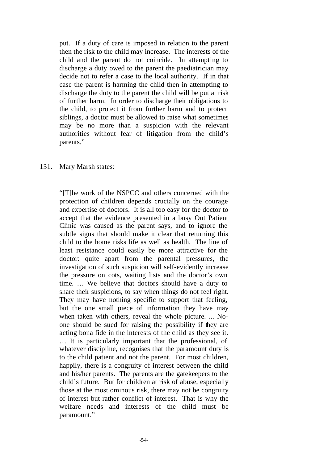put. If a duty of care is imposed in relation to the parent then the risk to the child may increase. The interests of the child and the parent do not coincide. In attempting to discharge a duty owed to the parent the paediatrician may decide not to refer a case to the local authority. If in that case the parent is harming the child then in attempting to discharge the duty to the parent the child will be put at risk of further harm. In order to discharge their obligations to the child, to protect it from further harm and to protect siblings, a doctor must be allowed to raise what sometimes may be no more than a suspicion with the relevant authorities without fear of litigation from the child's parents."

#### 131. Mary Marsh states:

"[T]he work of the NSPCC and others concerned with the protection of children depends crucially on the courage and expertise of doctors. It is all too easy for the doctor to accept that the evidence presented in a busy Out Patient Clinic was caused as the parent says, and to ignore the subtle signs that should make it clear that returning this child to the home risks life as well as health. The line of least resistance could easily be more attractive for the doctor: quite apart from the parental pressures, the investigation of such suspicion will self-evidently increase the pressure on cots, waiting lists and the doctor's own time. … We believe that doctors should have a duty to share their suspicions, to say when things do not feel right. They may have nothing specific to support that feeling, but the one small piece of information they have may when taken with others, reveal the whole picture. ... Noone should be sued for raising the possibility if they are acting bona fide in the interests of the child as they see it. … It is particularly important that the professional, of whatever discipline, recognises that the paramount duty is to the child patient and not the parent. For most children, happily, there is a congruity of interest between the child and his/her parents. The parents are the gatekeepers to the child's future. But for children at risk of abuse, especially those at the most ominous risk, there may not be congruity of interest but rather conflict of interest. That is why the welfare needs and interests of the child must be paramount."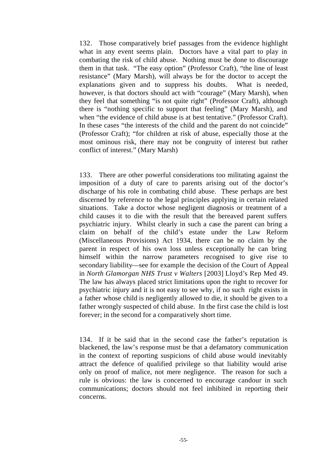132. Those comparatively brief passages from the evidence highlight what in any event seems plain. Doctors have a vital part to play in combating the risk of child abuse. Nothing must be done to discourage them in that task. "The easy option" (Professor Craft), "the line of least resistance" (Mary Marsh), will always be for the doctor to accept the explanations given and to suppress his doubts. What is needed, however, is that doctors should act with "courage" (Mary Marsh), when they feel that something "is not quite right" (Professor Craft), although there is "nothing specific to support that feeling" (Mary Marsh), and when "the evidence of child abuse is at best tentative." (Professor Craft). In these cases "the interests of the child and the parent do not coincide" (Professor Craft); "for children at risk of abuse, especially those at the most ominous risk, there may not be congruity of interest but rather conflict of interest." (Mary Marsh)

133. There are other powerful considerations too militating against the imposition of a duty of care to parents arising out of the doctor's discharge of his role in combating child abuse. These perhaps are best discerned by reference to the legal principles applying in certain related situations. Take a doctor whose negligent diagnosis or treatment of a child causes it to die with the result that the bereaved parent suffers psychiatric injury. Whilst clearly in such a case the parent can bring a claim on behalf of the child's estate under the Law Reform (Miscellaneous Provisions) Act 1934, there can be no claim by the parent in respect of his own loss unless exceptionally he can bring himself within the narrow parameters recognised to give rise to secondary liability—see for example the decision of the Court of Appeal in *North Glamorgan NHS Trust v Walters* [2003] Lloyd's Rep Med 49. The law has always placed strict limitations upon the right to recover for psychiatric injury and it is not easy to see why, if no such right exists in a father whose child is negligently allowed to die, it should be given to a father wrongly suspected of child abuse. In the first case the child is lost forever; in the second for a comparatively short time.

134. If it be said that in the second case the father's reputation is blackened, the law's response must be that a defamatory communication in the context of reporting suspicions of child abuse would inevitably attract the defence of qualified privilege so that liability would arise only on proof of malice, not mere negligence. The reason for such a rule is obvious: the law is concerned to encourage candour in such communications; doctors should not feel inhibited in reporting their concerns.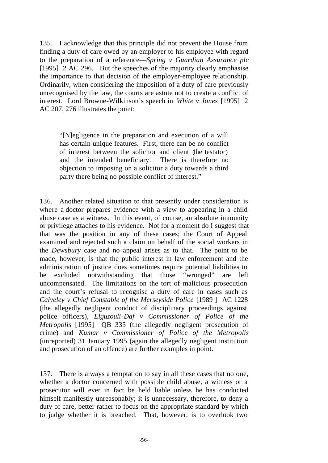135. I acknowledge that this principle did not prevent the House from finding a duty of care owed by an employer to his employee with regard to the preparation of a reference—*Spring v Guardian Assurance plc* [1995] 2 AC 296. But the speeches of the majority clearly emphasise the importance to that decision of the employer-employee relationship. Ordinarily, when considering the imposition of a duty of care previously unrecognised by the law, the courts are astute not to create a conflict of interest. Lord Browne-Wilkinson's speech in *White v Jones* [1995] 2 AC 207, 276 illustrates the point:

"[N]egligence in the preparation and execution of a will has certain unique features. First, there can be no conflict of interest between the solicitor and client (the testator) and the intended beneficiary. There is therefore no objection to imposing on a solicitor a duty towards a third party there being no possible conflict of interest."

136. Another related situation to that presently under consideration is where a doctor prepares evidence with a view to appearing in a child abuse case as a witness. In this event, of course, an absolute immunity or privilege attaches to his evidence. Not for a moment do I suggest that that was the position in any of these cases; the Court of Appeal examined and rejected such a claim on behalf of the social workers in the *Dewsbury* case and no appeal arises as to that. The point to be made, however, is that the public interest in law enforcement and the administration of justice does sometimes require potential liabilities to be excluded notwithstanding that those "wronged" are left uncompensated. The limitations on the tort of malicious prosecution and the court's refusal to recognise a duty of care in cases such as *Calveley v Chief Constable of the Merseyside Police* [1989 ] AC 1228 (the allegedly negligent conduct of disciplinary proceedings against police officers), *Elguzouli-Daf v Commissioner of Police of the Metropolis* [1995] QB 335 (the allegedly negligent prosecution of crime) and *Kumar v Commissioner of Police of the Metropolis* (unreported) 31 January 1995 (again the allegedly negligent institution and prosecution of an offence) are further examples in point.

137. There is always a temptation to say in all these cases that no one, whether a doctor concerned with possible child abuse, a witness or a prosecutor will ever in fact be held liable unless he has conducted himself manifestly unreasonably; it is unnecessary, therefore, to deny a duty of care, better rather to focus on the appropriate standard by which to judge whether it is breached. That, however, is to overlook two